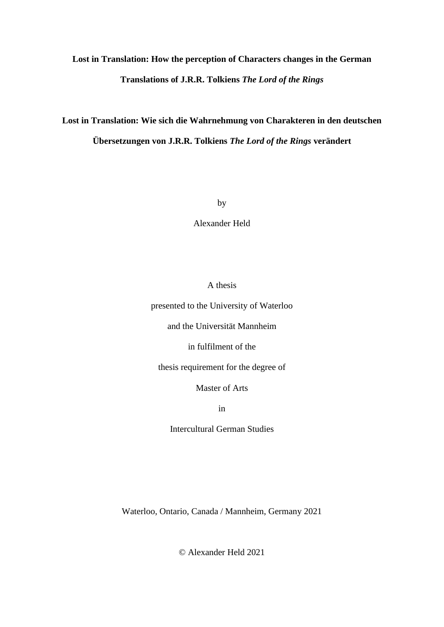# **Lost in Translation: How the perception of Characters changes in the German Translations of J.R.R. Tolkiens** *The Lord of the Rings*

**Lost in Translation: Wie sich die Wahrnehmung von Charakteren in den deutschen Übersetzungen von J.R.R. Tolkiens** *The Lord of the Rings* **verändert**

by

Alexander Held

# A thesis

presented to the University of Waterloo

and the Universität Mannheim

in fulfilment of the

thesis requirement for the degree of

Master of Arts

in

Intercultural German Studies

Waterloo, Ontario, Canada / Mannheim, Germany 2021

© Alexander Held 2021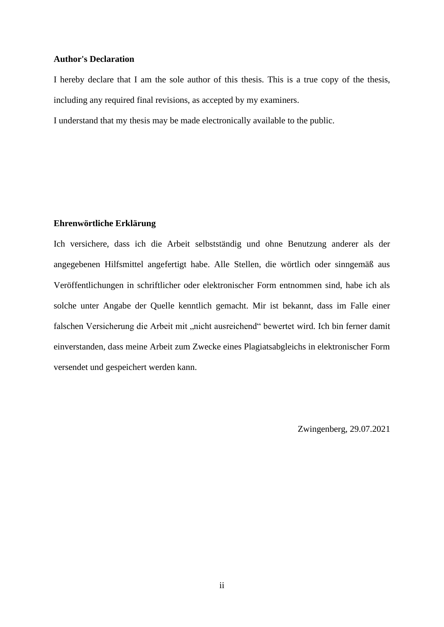#### **Author's Declaration**

I hereby declare that I am the sole author of this thesis. This is a true copy of the thesis, including any required final revisions, as accepted by my examiners.

I understand that my thesis may be made electronically available to the public.

# **Ehrenwörtliche Erklärung**

Ich versichere, dass ich die Arbeit selbstständig und ohne Benutzung anderer als der angegebenen Hilfsmittel angefertigt habe. Alle Stellen, die wörtlich oder sinngemäß aus Veröffentlichungen in schriftlicher oder elektronischer Form entnommen sind, habe ich als solche unter Angabe der Quelle kenntlich gemacht. Mir ist bekannt, dass im Falle einer falschen Versicherung die Arbeit mit "nicht ausreichend" bewertet wird. Ich bin ferner damit einverstanden, dass meine Arbeit zum Zwecke eines Plagiatsabgleichs in elektronischer Form versendet und gespeichert werden kann.

Zwingenberg, 29.07.2021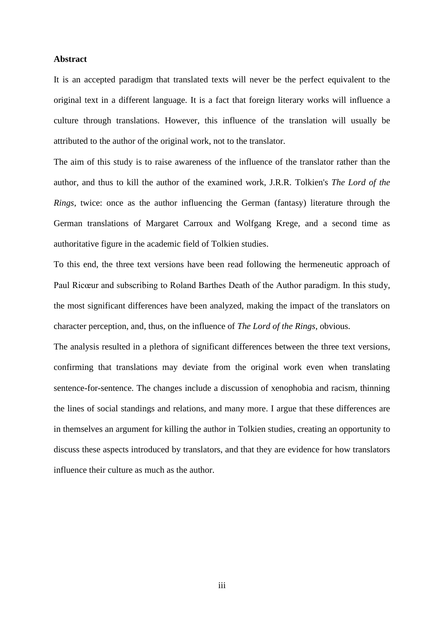### **Abstract**

It is an accepted paradigm that translated texts will never be the perfect equivalent to the original text in a different language. It is a fact that foreign literary works will influence a culture through translations. However, this influence of the translation will usually be attributed to the author of the original work, not to the translator.

The aim of this study is to raise awareness of the influence of the translator rather than the author, and thus to kill the author of the examined work, J.R.R. Tolkien's *The Lord of the Rings*, twice: once as the author influencing the German (fantasy) literature through the German translations of Margaret Carroux and Wolfgang Krege, and a second time as authoritative figure in the academic field of Tolkien studies.

To this end, the three text versions have been read following the hermeneutic approach of Paul Ricœur and subscribing to Roland Barthes Death of the Author paradigm. In this study, the most significant differences have been analyzed, making the impact of the translators on character perception, and, thus, on the influence of *The Lord of the Rings*, obvious.

The analysis resulted in a plethora of significant differences between the three text versions, confirming that translations may deviate from the original work even when translating sentence-for-sentence. The changes include a discussion of xenophobia and racism, thinning the lines of social standings and relations, and many more. I argue that these differences are in themselves an argument for killing the author in Tolkien studies, creating an opportunity to discuss these aspects introduced by translators, and that they are evidence for how translators influence their culture as much as the author.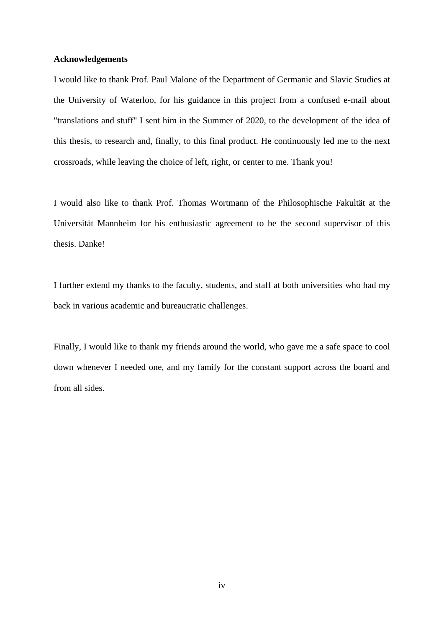#### **Acknowledgements**

I would like to thank Prof. Paul Malone of the Department of Germanic and Slavic Studies at the University of Waterloo, for his guidance in this project from a confused e-mail about "translations and stuff" I sent him in the Summer of 2020, to the development of the idea of this thesis, to research and, finally, to this final product. He continuously led me to the next crossroads, while leaving the choice of left, right, or center to me. Thank you!

I would also like to thank Prof. Thomas Wortmann of the Philosophische Fakultät at the Universität Mannheim for his enthusiastic agreement to be the second supervisor of this thesis. Danke!

I further extend my thanks to the faculty, students, and staff at both universities who had my back in various academic and bureaucratic challenges.

Finally, I would like to thank my friends around the world, who gave me a safe space to cool down whenever I needed one, and my family for the constant support across the board and from all sides.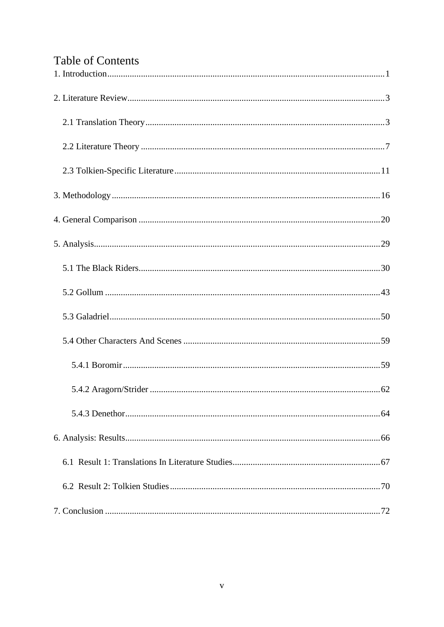# Table of Contents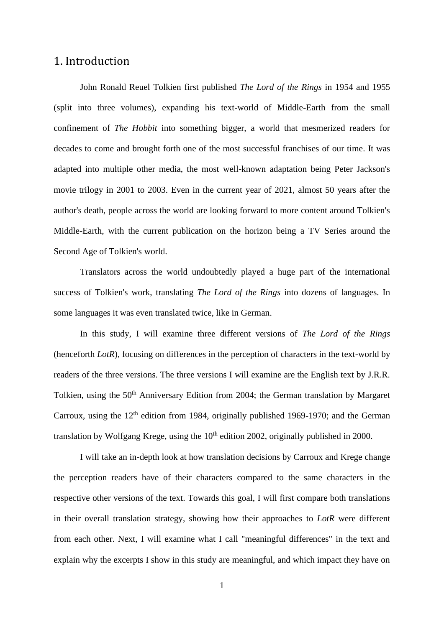# <span id="page-5-0"></span>1. Introduction

John Ronald Reuel Tolkien first published *The Lord of the Rings* in 1954 and 1955 (split into three volumes), expanding his text-world of Middle-Earth from the small confinement of *The Hobbit* into something bigger, a world that mesmerized readers for decades to come and brought forth one of the most successful franchises of our time. It was adapted into multiple other media, the most well-known adaptation being Peter Jackson's movie trilogy in 2001 to 2003. Even in the current year of 2021, almost 50 years after the author's death, people across the world are looking forward to more content around Tolkien's Middle-Earth, with the current publication on the horizon being a TV Series around the Second Age of Tolkien's world.

Translators across the world undoubtedly played a huge part of the international success of Tolkien's work, translating *The Lord of the Rings* into dozens of languages. In some languages it was even translated twice, like in German.

In this study, I will examine three different versions of *The Lord of the Rings* (henceforth *LotR*), focusing on differences in the perception of characters in the text-world by readers of the three versions. The three versions I will examine are the English text by J.R.R. Tolkien, using the 50<sup>th</sup> Anniversary Edition from 2004; the German translation by Margaret Carroux, using the  $12<sup>th</sup>$  edition from 1984, originally published 1969-1970; and the German translation by Wolfgang Krege, using the  $10<sup>th</sup>$  edition 2002, originally published in 2000.

I will take an in-depth look at how translation decisions by Carroux and Krege change the perception readers have of their characters compared to the same characters in the respective other versions of the text. Towards this goal, I will first compare both translations in their overall translation strategy, showing how their approaches to *LotR* were different from each other. Next, I will examine what I call "meaningful differences" in the text and explain why the excerpts I show in this study are meaningful, and which impact they have on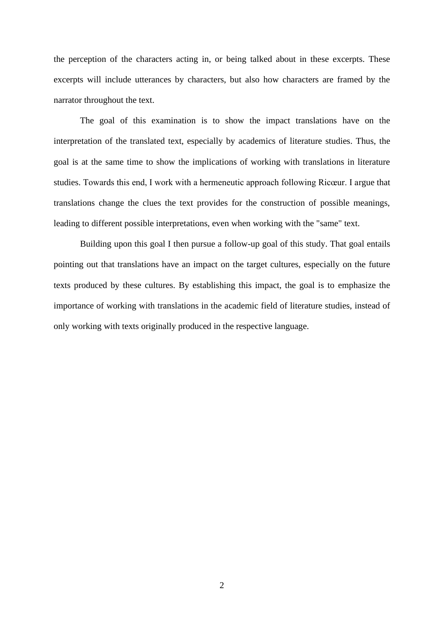the perception of the characters acting in, or being talked about in these excerpts. These excerpts will include utterances by characters, but also how characters are framed by the narrator throughout the text.

The goal of this examination is to show the impact translations have on the interpretation of the translated text, especially by academics of literature studies. Thus, the goal is at the same time to show the implications of working with translations in literature studies. Towards this end, I work with a hermeneutic approach following Ricœur. I argue that translations change the clues the text provides for the construction of possible meanings, leading to different possible interpretations, even when working with the "same" text.

Building upon this goal I then pursue a follow-up goal of this study. That goal entails pointing out that translations have an impact on the target cultures, especially on the future texts produced by these cultures. By establishing this impact, the goal is to emphasize the importance of working with translations in the academic field of literature studies, instead of only working with texts originally produced in the respective language.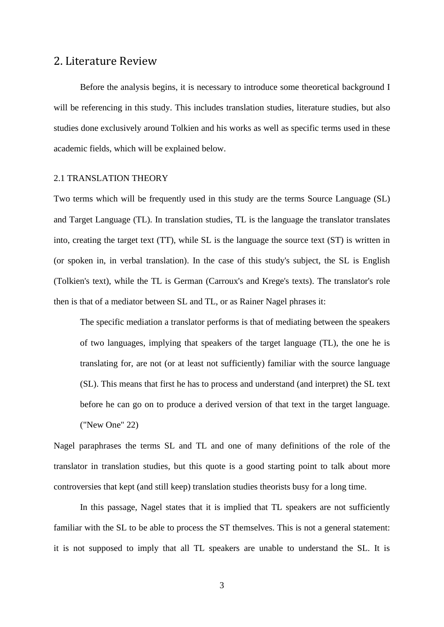# <span id="page-7-0"></span>2. Literature Review

Before the analysis begins, it is necessary to introduce some theoretical background I will be referencing in this study. This includes translation studies, literature studies, but also studies done exclusively around Tolkien and his works as well as specific terms used in these academic fields, which will be explained below.

## <span id="page-7-1"></span>2.1 TRANSLATION THEORY

Two terms which will be frequently used in this study are the terms Source Language (SL) and Target Language (TL). In translation studies, TL is the language the translator translates into, creating the target text (TT), while SL is the language the source text (ST) is written in (or spoken in, in verbal translation). In the case of this study's subject, the SL is English (Tolkien's text), while the TL is German (Carroux's and Krege's texts). The translator's role then is that of a mediator between SL and TL, or as Rainer Nagel phrases it:

The specific mediation a translator performs is that of mediating between the speakers of two languages, implying that speakers of the target language (TL), the one he is translating for, are not (or at least not sufficiently) familiar with the source language (SL). This means that first he has to process and understand (and interpret) the SL text before he can go on to produce a derived version of that text in the target language. ("New One" 22)

Nagel paraphrases the terms SL and TL and one of many definitions of the role of the translator in translation studies, but this quote is a good starting point to talk about more controversies that kept (and still keep) translation studies theorists busy for a long time.

In this passage, Nagel states that it is implied that TL speakers are not sufficiently familiar with the SL to be able to process the ST themselves. This is not a general statement: it is not supposed to imply that all TL speakers are unable to understand the SL. It is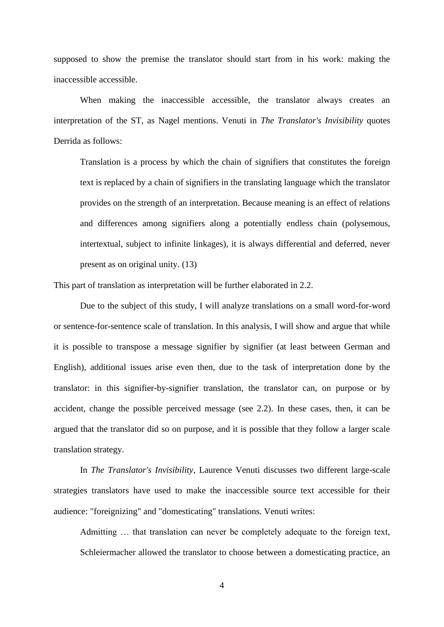supposed to show the premise the translator should start from in his work: making the inaccessible accessible.

When making the inaccessible accessible, the translator always creates an interpretation of the ST, as Nagel mentions. Venuti in *The Translator's Invisibility* quotes Derrida as follows:

Translation is a process by which the chain of signifiers that constitutes the foreign text is replaced by a chain of signifiers in the translating language which the translator provides on the strength of an interpretation. Because meaning is an effect of relations and differences among signifiers along a potentially endless chain (polysemous, intertextual, subject to infinite linkages), it is always differential and deferred, never present as on original unity. (13)

This part of translation as interpretation will be further elaborated in 2.2.

Due to the subject of this study, I will analyze translations on a small word-for-word or sentence-for-sentence scale of translation. In this analysis, I will show and argue that while it is possible to transpose a message signifier by signifier (at least between German and English), additional issues arise even then, due to the task of interpretation done by the translator: in this signifier-by-signifier translation, the translator can, on purpose or by accident, change the possible perceived message (see 2.2). In these cases, then, it can be argued that the translator did so on purpose, and it is possible that they follow a larger scale translation strategy.

In *The Translator's Invisibility*, Laurence Venuti discusses two different large-scale strategies translators have used to make the inaccessible source text accessible for their audience: "foreignizing" and "domesticating" translations. Venuti writes:

Admitting … that translation can never be completely adequate to the foreign text, Schleiermacher allowed the translator to choose between a domesticating practice, an

4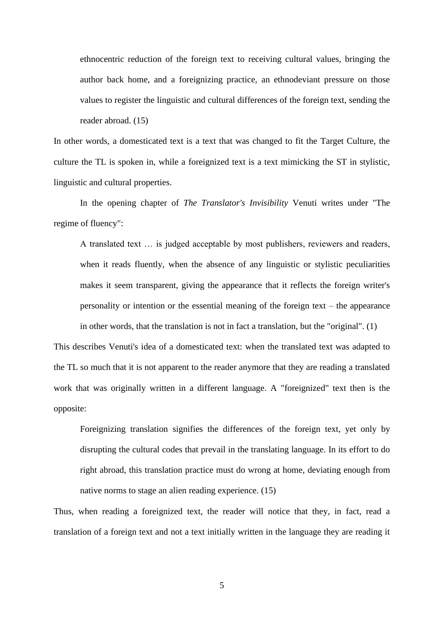ethnocentric reduction of the foreign text to receiving cultural values, bringing the author back home, and a foreignizing practice, an ethnodeviant pressure on those values to register the linguistic and cultural differences of the foreign text, sending the reader abroad. (15)

In other words, a domesticated text is a text that was changed to fit the Target Culture, the culture the TL is spoken in, while a foreignized text is a text mimicking the ST in stylistic, linguistic and cultural properties.

In the opening chapter of *The Translator's Invisibility* Venuti writes under "The regime of fluency":

A translated text … is judged acceptable by most publishers, reviewers and readers, when it reads fluently, when the absence of any linguistic or stylistic peculiarities makes it seem transparent, giving the appearance that it reflects the foreign writer's personality or intention or the essential meaning of the foreign text – the appearance in other words, that the translation is not in fact a translation, but the "original". (1)

This describes Venuti's idea of a domesticated text: when the translated text was adapted to the TL so much that it is not apparent to the reader anymore that they are reading a translated work that was originally written in a different language. A "foreignized" text then is the opposite:

Foreignizing translation signifies the differences of the foreign text, yet only by disrupting the cultural codes that prevail in the translating language. In its effort to do right abroad, this translation practice must do wrong at home, deviating enough from native norms to stage an alien reading experience. (15)

Thus, when reading a foreignized text, the reader will notice that they, in fact, read a translation of a foreign text and not a text initially written in the language they are reading it

5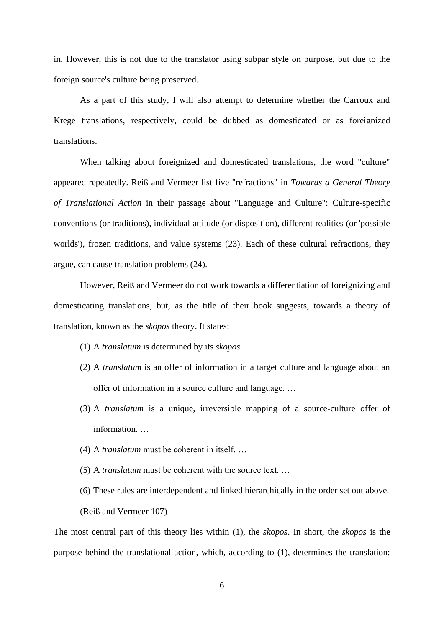in. However, this is not due to the translator using subpar style on purpose, but due to the foreign source's culture being preserved.

As a part of this study, I will also attempt to determine whether the Carroux and Krege translations, respectively, could be dubbed as domesticated or as foreignized translations.

When talking about foreignized and domesticated translations, the word "culture" appeared repeatedly. Reiß and Vermeer list five "refractions" in *Towards a General Theory of Translational Action* in their passage about "Language and Culture": Culture-specific conventions (or traditions), individual attitude (or disposition), different realities (or 'possible worlds'), frozen traditions, and value systems (23). Each of these cultural refractions, they argue, can cause translation problems (24).

However, Reiß and Vermeer do not work towards a differentiation of foreignizing and domesticating translations, but, as the title of their book suggests, towards a theory of translation, known as the *skopos* theory. It states:

- (1) A *translatum* is determined by its *skopos*. …
- (2) A *translatum* is an offer of information in a target culture and language about an offer of information in a source culture and language. …
- (3) A *translatum* is a unique, irreversible mapping of a source-culture offer of information. …
- (4) A *translatum* must be coherent in itself. …
- (5) A *translatum* must be coherent with the source text. …
- (6) These rules are interdependent and linked hierarchically in the order set out above. (Reiß and Vermeer 107)

The most central part of this theory lies within (1), the *skopos*. In short, the *skopos* is the purpose behind the translational action, which, according to (1), determines the translation: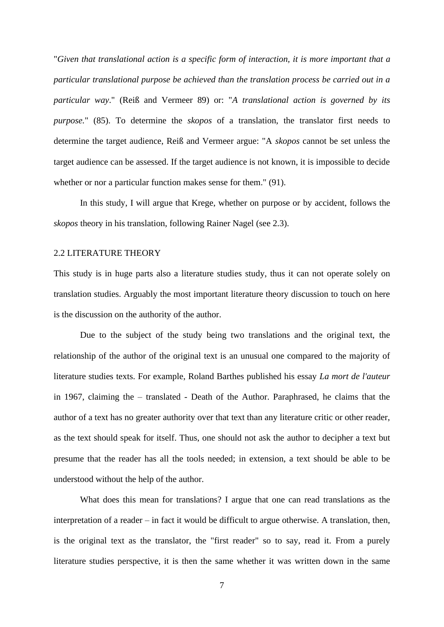"*Given that translational action is a specific form of interaction, it is more important that a particular translational purpose be achieved than the translation process be carried out in a particular way*." (Reiß and Vermeer 89) or: "*A translational action is governed by its purpose.*" (85). To determine the *skopos* of a translation, the translator first needs to determine the target audience, Reiß and Vermeer argue: "A *skopos* cannot be set unless the target audience can be assessed. If the target audience is not known, it is impossible to decide whether or nor a particular function makes sense for them." (91).

In this study, I will argue that Krege, whether on purpose or by accident, follows the *skopos* theory in his translation, following Rainer Nagel (see 2.3).

#### <span id="page-11-0"></span>2.2 LITERATURE THEORY

This study is in huge parts also a literature studies study, thus it can not operate solely on translation studies. Arguably the most important literature theory discussion to touch on here is the discussion on the authority of the author.

Due to the subject of the study being two translations and the original text, the relationship of the author of the original text is an unusual one compared to the majority of literature studies texts. For example, Roland Barthes published his essay *La mort de l'auteur* in 1967, claiming the – translated - Death of the Author. Paraphrased, he claims that the author of a text has no greater authority over that text than any literature critic or other reader, as the text should speak for itself. Thus, one should not ask the author to decipher a text but presume that the reader has all the tools needed; in extension, a text should be able to be understood without the help of the author.

What does this mean for translations? I argue that one can read translations as the interpretation of a reader – in fact it would be difficult to argue otherwise. A translation, then, is the original text as the translator, the "first reader" so to say, read it. From a purely literature studies perspective, it is then the same whether it was written down in the same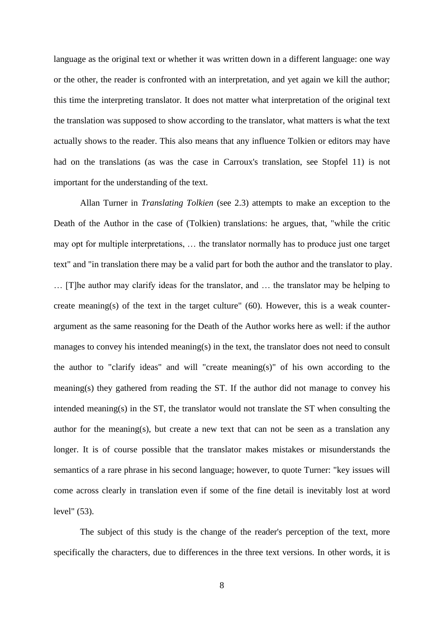language as the original text or whether it was written down in a different language: one way or the other, the reader is confronted with an interpretation, and yet again we kill the author; this time the interpreting translator. It does not matter what interpretation of the original text the translation was supposed to show according to the translator, what matters is what the text actually shows to the reader. This also means that any influence Tolkien or editors may have had on the translations (as was the case in Carroux's translation, see Stopfel 11) is not important for the understanding of the text.

Allan Turner in *Translating Tolkien* (see 2.3) attempts to make an exception to the Death of the Author in the case of (Tolkien) translations: he argues, that, "while the critic may opt for multiple interpretations, … the translator normally has to produce just one target text" and "in translation there may be a valid part for both the author and the translator to play. … [T]he author may clarify ideas for the translator, and … the translator may be helping to create meaning(s) of the text in the target culture" (60). However, this is a weak counterargument as the same reasoning for the Death of the Author works here as well: if the author manages to convey his intended meaning(s) in the text, the translator does not need to consult the author to "clarify ideas" and will "create meaning(s)" of his own according to the meaning(s) they gathered from reading the ST. If the author did not manage to convey his intended meaning(s) in the ST, the translator would not translate the ST when consulting the author for the meaning(s), but create a new text that can not be seen as a translation any longer. It is of course possible that the translator makes mistakes or misunderstands the semantics of a rare phrase in his second language; however, to quote Turner: "key issues will come across clearly in translation even if some of the fine detail is inevitably lost at word level" (53).

The subject of this study is the change of the reader's perception of the text, more specifically the characters, due to differences in the three text versions. In other words, it is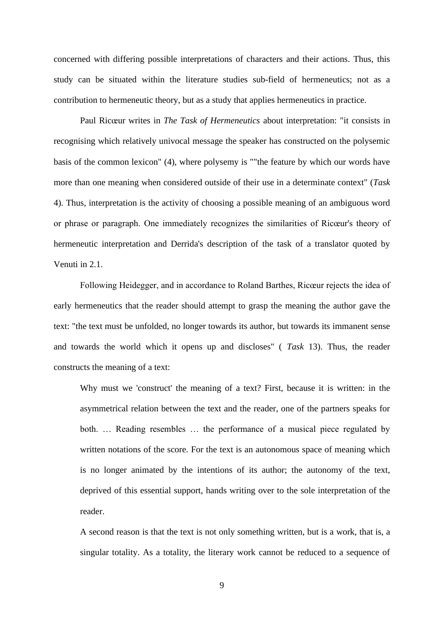concerned with differing possible interpretations of characters and their actions. Thus, this study can be situated within the literature studies sub-field of hermeneutics; not as a contribution to hermeneutic theory, but as a study that applies hermeneutics in practice.

Paul Ricœur writes in *The Task of Hermeneutics* about interpretation: "it consists in recognising which relatively univocal message the speaker has constructed on the polysemic basis of the common lexicon" (4), where polysemy is ""the feature by which our words have more than one meaning when considered outside of their use in a determinate context" (*Task*  4). Thus, interpretation is the activity of choosing a possible meaning of an ambiguous word or phrase or paragraph. One immediately recognizes the similarities of Ricœur's theory of hermeneutic interpretation and Derrida's description of the task of a translator quoted by Venuti in 2.1.

Following Heidegger, and in accordance to Roland Barthes, Ricœur rejects the idea of early hermeneutics that the reader should attempt to grasp the meaning the author gave the text: "the text must be unfolded, no longer towards its author, but towards its immanent sense and towards the world which it opens up and discloses" ( *Task* 13). Thus, the reader constructs the meaning of a text:

Why must we 'construct' the meaning of a text? First, because it is written: in the asymmetrical relation between the text and the reader, one of the partners speaks for both. … Reading resembles … the performance of a musical piece regulated by written notations of the score. For the text is an autonomous space of meaning which is no longer animated by the intentions of its author; the autonomy of the text, deprived of this essential support, hands writing over to the sole interpretation of the reader.

A second reason is that the text is not only something written, but is a work, that is, a singular totality. As a totality, the literary work cannot be reduced to a sequence of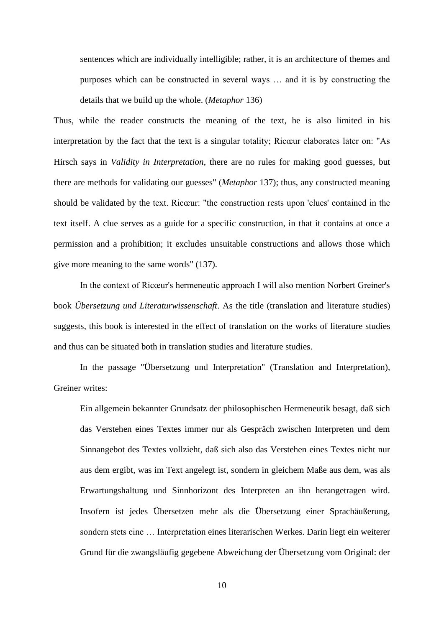sentences which are individually intelligible; rather, it is an architecture of themes and purposes which can be constructed in several ways … and it is by constructing the details that we build up the whole. (*Metaphor* 136)

Thus, while the reader constructs the meaning of the text, he is also limited in his interpretation by the fact that the text is a singular totality; Ricœur elaborates later on: "As Hirsch says in *Validity in Interpretation*, there are no rules for making good guesses, but there are methods for validating our guesses" (*Metaphor* 137); thus, any constructed meaning should be validated by the text. Ricœur: "the construction rests upon 'clues' contained in the text itself. A clue serves as a guide for a specific construction, in that it contains at once a permission and a prohibition; it excludes unsuitable constructions and allows those which give more meaning to the same words" (137).

In the context of Ricœur's hermeneutic approach I will also mention Norbert Greiner's book *Übersetzung und Literaturwissenschaft*. As the title (translation and literature studies) suggests, this book is interested in the effect of translation on the works of literature studies and thus can be situated both in translation studies and literature studies.

In the passage "Übersetzung und Interpretation" (Translation and Interpretation), Greiner writes:

Ein allgemein bekannter Grundsatz der philosophischen Hermeneutik besagt, daß sich das Verstehen eines Textes immer nur als Gespräch zwischen Interpreten und dem Sinnangebot des Textes vollzieht, daß sich also das Verstehen eines Textes nicht nur aus dem ergibt, was im Text angelegt ist, sondern in gleichem Maße aus dem, was als Erwartungshaltung und Sinnhorizont des Interpreten an ihn herangetragen wird. Insofern ist jedes Übersetzen mehr als die Übersetzung einer Sprachäußerung, sondern stets eine … Interpretation eines literarischen Werkes. Darin liegt ein weiterer Grund für die zwangsläufig gegebene Abweichung der Übersetzung vom Original: der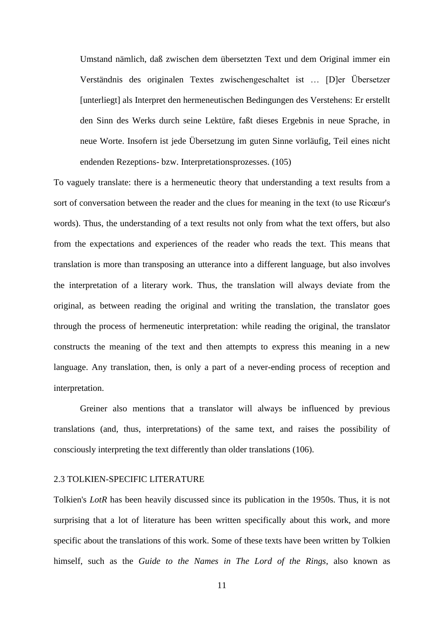Umstand nämlich, daß zwischen dem übersetzten Text und dem Original immer ein Verständnis des originalen Textes zwischengeschaltet ist … [D]er Übersetzer [unterliegt] als Interpret den hermeneutischen Bedingungen des Verstehens: Er erstellt den Sinn des Werks durch seine Lektüre, faßt dieses Ergebnis in neue Sprache, in neue Worte. Insofern ist jede Übersetzung im guten Sinne vorläufig, Teil eines nicht endenden Rezeptions- bzw. Interpretationsprozesses. (105)

To vaguely translate: there is a hermeneutic theory that understanding a text results from a sort of conversation between the reader and the clues for meaning in the text (to use Ricœur's words). Thus, the understanding of a text results not only from what the text offers, but also from the expectations and experiences of the reader who reads the text. This means that translation is more than transposing an utterance into a different language, but also involves the interpretation of a literary work. Thus, the translation will always deviate from the original, as between reading the original and writing the translation, the translator goes through the process of hermeneutic interpretation: while reading the original, the translator constructs the meaning of the text and then attempts to express this meaning in a new language. Any translation, then, is only a part of a never-ending process of reception and interpretation.

Greiner also mentions that a translator will always be influenced by previous translations (and, thus, interpretations) of the same text, and raises the possibility of consciously interpreting the text differently than older translations (106).

# <span id="page-15-0"></span>2.3 TOLKIEN-SPECIFIC LITERATURE

Tolkien's *LotR* has been heavily discussed since its publication in the 1950s. Thus, it is not surprising that a lot of literature has been written specifically about this work, and more specific about the translations of this work. Some of these texts have been written by Tolkien himself, such as the *Guide to the Names in The Lord of the Rings*, also known as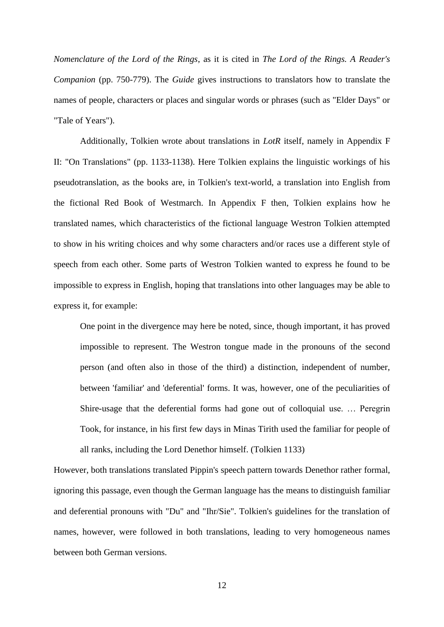*Nomenclature of the Lord of the Rings*, as it is cited in *The Lord of the Rings. A Reader's Companion* (pp. 750-779). The *Guide* gives instructions to translators how to translate the names of people, characters or places and singular words or phrases (such as "Elder Days" or "Tale of Years").

Additionally, Tolkien wrote about translations in *LotR* itself, namely in Appendix F II: "On Translations" (pp. 1133-1138). Here Tolkien explains the linguistic workings of his pseudotranslation, as the books are, in Tolkien's text-world, a translation into English from the fictional Red Book of Westmarch. In Appendix F then, Tolkien explains how he translated names, which characteristics of the fictional language Westron Tolkien attempted to show in his writing choices and why some characters and/or races use a different style of speech from each other. Some parts of Westron Tolkien wanted to express he found to be impossible to express in English, hoping that translations into other languages may be able to express it, for example:

One point in the divergence may here be noted, since, though important, it has proved impossible to represent. The Westron tongue made in the pronouns of the second person (and often also in those of the third) a distinction, independent of number, between 'familiar' and 'deferential' forms. It was, however, one of the peculiarities of Shire-usage that the deferential forms had gone out of colloquial use. … Peregrin Took, for instance, in his first few days in Minas Tirith used the familiar for people of all ranks, including the Lord Denethor himself. (Tolkien 1133)

However, both translations translated Pippin's speech pattern towards Denethor rather formal, ignoring this passage, even though the German language has the means to distinguish familiar and deferential pronouns with "Du" and "Ihr/Sie". Tolkien's guidelines for the translation of names, however, were followed in both translations, leading to very homogeneous names between both German versions.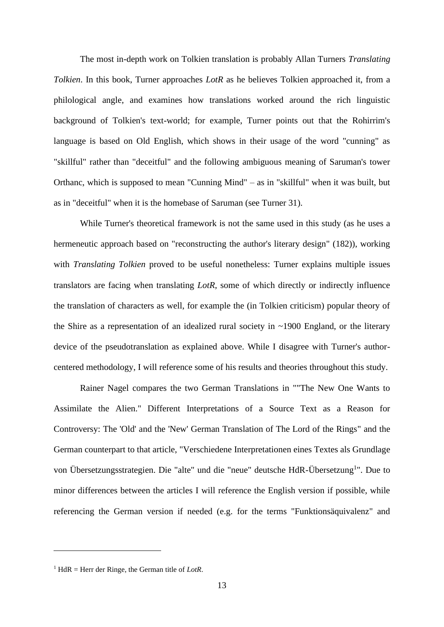The most in-depth work on Tolkien translation is probably Allan Turners *Translating Tolkien*. In this book, Turner approaches *LotR* as he believes Tolkien approached it, from a philological angle, and examines how translations worked around the rich linguistic background of Tolkien's text-world; for example, Turner points out that the Rohirrim's language is based on Old English, which shows in their usage of the word "cunning" as "skillful" rather than "deceitful" and the following ambiguous meaning of Saruman's tower Orthanc, which is supposed to mean "Cunning Mind" – as in "skillful" when it was built, but as in "deceitful" when it is the homebase of Saruman (see Turner 31).

While Turner's theoretical framework is not the same used in this study (as he uses a hermeneutic approach based on "reconstructing the author's literary design" (182)), working with *Translating Tolkien* proved to be useful nonetheless: Turner explains multiple issues translators are facing when translating *LotR*, some of which directly or indirectly influence the translation of characters as well, for example the (in Tolkien criticism) popular theory of the Shire as a representation of an idealized rural society in ~1900 England, or the literary device of the pseudotranslation as explained above. While I disagree with Turner's authorcentered methodology, I will reference some of his results and theories throughout this study.

Rainer Nagel compares the two German Translations in ""The New One Wants to Assimilate the Alien." Different Interpretations of a Source Text as a Reason for Controversy: The 'Old' and the 'New' German Translation of The Lord of the Rings" and the German counterpart to that article, "Verschiedene Interpretationen eines Textes als Grundlage von Übersetzungsstrategien. Die "alte" und die "neue" deutsche HdR-Übersetzung<sup>1</sup>". Due to minor differences between the articles I will reference the English version if possible, while referencing the German version if needed (e.g. for the terms "Funktionsäquivalenz" and

<sup>&</sup>lt;sup>1</sup> HdR = Herr der Ringe, the German title of *LotR*.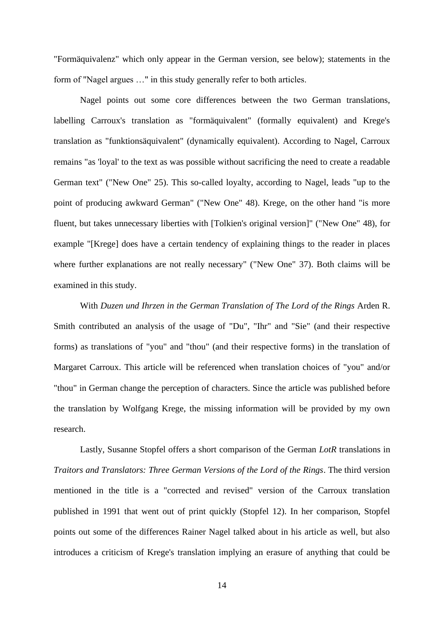"Formäquivalenz" which only appear in the German version, see below); statements in the form of "Nagel argues …" in this study generally refer to both articles.

Nagel points out some core differences between the two German translations, labelling Carroux's translation as "formäquivalent" (formally equivalent) and Krege's translation as "funktionsäquivalent" (dynamically equivalent). According to Nagel, Carroux remains "as 'loyal' to the text as was possible without sacrificing the need to create a readable German text" ("New One" 25). This so-called loyalty, according to Nagel, leads "up to the point of producing awkward German" ("New One" 48). Krege, on the other hand "is more fluent, but takes unnecessary liberties with [Tolkien's original version]" ("New One" 48), for example "[Krege] does have a certain tendency of explaining things to the reader in places where further explanations are not really necessary" ("New One" 37). Both claims will be examined in this study.

With *Duzen und Ihrzen in the German Translation of The Lord of the Rings* Arden R. Smith contributed an analysis of the usage of "Du", "Ihr" and "Sie" (and their respective forms) as translations of "you" and "thou" (and their respective forms) in the translation of Margaret Carroux. This article will be referenced when translation choices of "you" and/or "thou" in German change the perception of characters. Since the article was published before the translation by Wolfgang Krege, the missing information will be provided by my own research.

Lastly, Susanne Stopfel offers a short comparison of the German *LotR* translations in *Traitors and Translators: Three German Versions of the Lord of the Rings*. The third version mentioned in the title is a "corrected and revised" version of the Carroux translation published in 1991 that went out of print quickly (Stopfel 12). In her comparison, Stopfel points out some of the differences Rainer Nagel talked about in his article as well, but also introduces a criticism of Krege's translation implying an erasure of anything that could be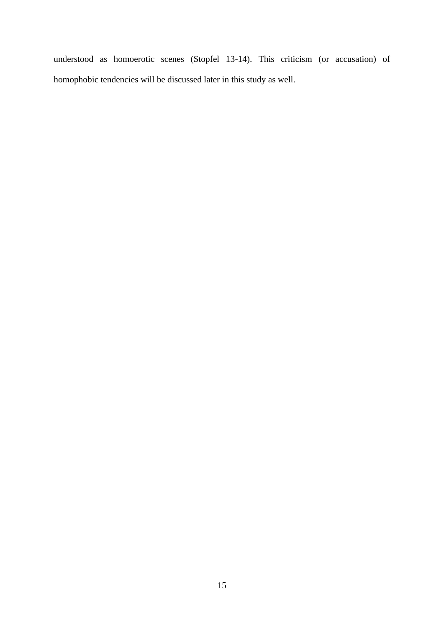understood as homoerotic scenes (Stopfel 13-14). This criticism (or accusation) of homophobic tendencies will be discussed later in this study as well.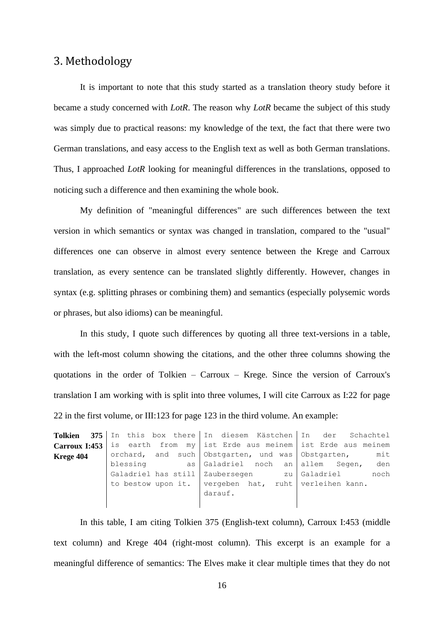# <span id="page-20-0"></span>3. Methodology

It is important to note that this study started as a translation theory study before it became a study concerned with *LotR*. The reason why *LotR* became the subject of this study was simply due to practical reasons: my knowledge of the text, the fact that there were two German translations, and easy access to the English text as well as both German translations. Thus, I approached *LotR* looking for meaningful differences in the translations, opposed to noticing such a difference and then examining the whole book.

My definition of "meaningful differences" are such differences between the text version in which semantics or syntax was changed in translation, compared to the "usual" differences one can observe in almost every sentence between the Krege and Carroux translation, as every sentence can be translated slightly differently. However, changes in syntax (e.g. splitting phrases or combining them) and semantics (especially polysemic words or phrases, but also idioms) can be meaningful.

In this study, I quote such differences by quoting all three text-versions in a table, with the left-most column showing the citations, and the other three columns showing the quotations in the order of Tolkien – Carroux – Krege. Since the version of Carroux's translation I am working with is split into three volumes, I will cite Carroux as I:22 for page 22 in the first volume, or III:123 for page 123 in the third volume. An example:

|               |          | Tolkien 375   In this box there   In diesem Kästchen   In der Schachtel |      |
|---------------|----------|-------------------------------------------------------------------------|------|
| Carroux I:453 |          | is earth from my   ist Erde aus meinem   ist Erde aus meinem            |      |
| Krege 404     |          | orchard, and such Obstgarten, und was Obstgarten,                       | mit  |
|               | blessing | as Galadriel noch an allem Segen,                                       | den  |
|               |          | Galadriel has still   Zaubersegen zu   Galadriel                        | noch |
|               |          | to bestow upon it.   vergeben hat, ruht   verleihen kann.               |      |
|               |          | darauf.                                                                 |      |
|               |          |                                                                         |      |

In this table, I am citing Tolkien 375 (English-text column), Carroux I:453 (middle text column) and Krege 404 (right-most column). This excerpt is an example for a meaningful difference of semantics: The Elves make it clear multiple times that they do not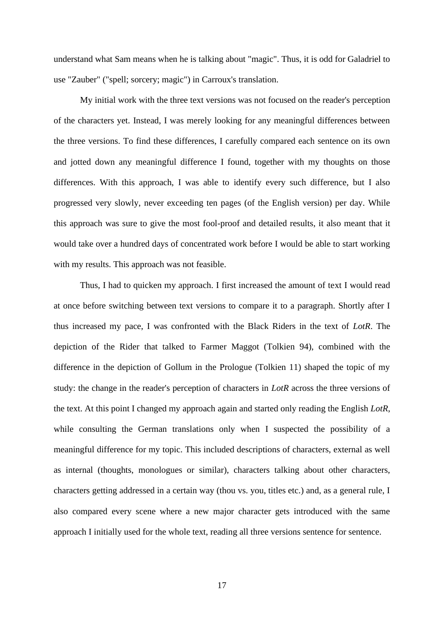understand what Sam means when he is talking about "magic". Thus, it is odd for Galadriel to use "Zauber" ("spell; sorcery; magic") in Carroux's translation.

My initial work with the three text versions was not focused on the reader's perception of the characters yet. Instead, I was merely looking for any meaningful differences between the three versions. To find these differences, I carefully compared each sentence on its own and jotted down any meaningful difference I found, together with my thoughts on those differences. With this approach, I was able to identify every such difference, but I also progressed very slowly, never exceeding ten pages (of the English version) per day. While this approach was sure to give the most fool-proof and detailed results, it also meant that it would take over a hundred days of concentrated work before I would be able to start working with my results. This approach was not feasible.

Thus, I had to quicken my approach. I first increased the amount of text I would read at once before switching between text versions to compare it to a paragraph. Shortly after I thus increased my pace, I was confronted with the Black Riders in the text of *LotR*. The depiction of the Rider that talked to Farmer Maggot (Tolkien 94), combined with the difference in the depiction of Gollum in the Prologue (Tolkien 11) shaped the topic of my study: the change in the reader's perception of characters in *LotR* across the three versions of the text. At this point I changed my approach again and started only reading the English *LotR*, while consulting the German translations only when I suspected the possibility of a meaningful difference for my topic. This included descriptions of characters, external as well as internal (thoughts, monologues or similar), characters talking about other characters, characters getting addressed in a certain way (thou vs. you, titles etc.) and, as a general rule, I also compared every scene where a new major character gets introduced with the same approach I initially used for the whole text, reading all three versions sentence for sentence.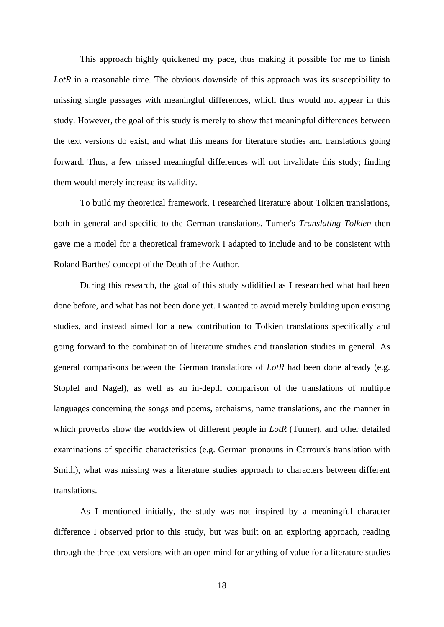This approach highly quickened my pace, thus making it possible for me to finish LotR in a reasonable time. The obvious downside of this approach was its susceptibility to missing single passages with meaningful differences, which thus would not appear in this study. However, the goal of this study is merely to show that meaningful differences between the text versions do exist, and what this means for literature studies and translations going forward. Thus, a few missed meaningful differences will not invalidate this study; finding them would merely increase its validity.

To build my theoretical framework, I researched literature about Tolkien translations, both in general and specific to the German translations. Turner's *Translating Tolkien* then gave me a model for a theoretical framework I adapted to include and to be consistent with Roland Barthes' concept of the Death of the Author.

During this research, the goal of this study solidified as I researched what had been done before, and what has not been done yet. I wanted to avoid merely building upon existing studies, and instead aimed for a new contribution to Tolkien translations specifically and going forward to the combination of literature studies and translation studies in general. As general comparisons between the German translations of *LotR* had been done already (e.g. Stopfel and Nagel), as well as an in-depth comparison of the translations of multiple languages concerning the songs and poems, archaisms, name translations, and the manner in which proverbs show the worldview of different people in *LotR* (Turner), and other detailed examinations of specific characteristics (e.g. German pronouns in Carroux's translation with Smith), what was missing was a literature studies approach to characters between different translations.

As I mentioned initially, the study was not inspired by a meaningful character difference I observed prior to this study, but was built on an exploring approach, reading through the three text versions with an open mind for anything of value for a literature studies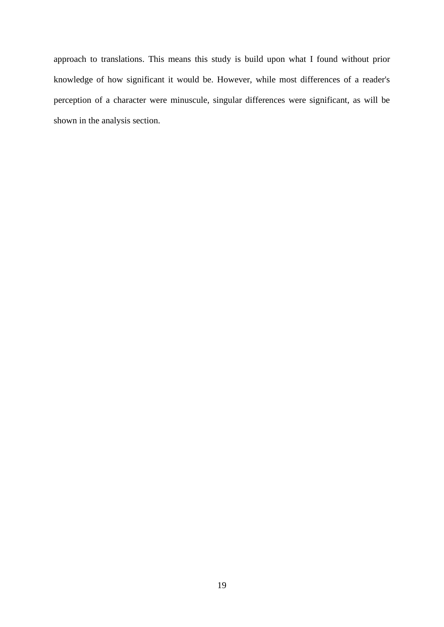approach to translations. This means this study is build upon what I found without prior knowledge of how significant it would be. However, while most differences of a reader's perception of a character were minuscule, singular differences were significant, as will be shown in the analysis section.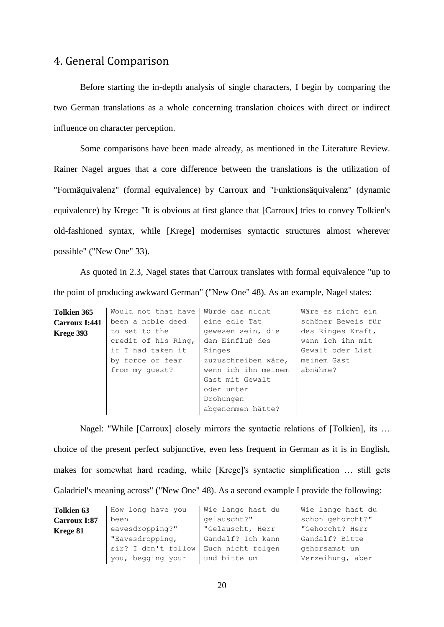# <span id="page-24-0"></span>4. General Comparison

Before starting the in-depth analysis of single characters, I begin by comparing the two German translations as a whole concerning translation choices with direct or indirect influence on character perception.

Some comparisons have been made already, as mentioned in the Literature Review. Rainer Nagel argues that a core difference between the translations is the utilization of "Formäquivalenz" (formal equivalence) by Carroux and "Funktionsäquivalenz" (dynamic equivalence) by Krege: "It is obvious at first glance that [Carroux] tries to convey Tolkien's old-fashioned syntax, while [Krege] modernises syntactic structures almost wherever possible" ("New One" 33).

As quoted in 2.3, Nagel states that Carroux translates with formal equivalence "up to the point of producing awkward German" ("New One" 48). As an example, Nagel states:

| Tolkien 365   | Would not that have | Würde das nicht     | Wäre es nicht ein  |
|---------------|---------------------|---------------------|--------------------|
| Carroux I:441 | been a noble deed   | eine edle Tat       | schöner Beweis für |
| Krege 393     | to set to the       | gewesen sein, die   | des Ringes Kraft,  |
|               | credit of his Ring, | dem Einfluß des     | wenn ich ihn mit   |
|               | if I had taken it   | Ringes              | Gewalt oder List   |
|               | by force or fear    | zuzuschreiben wäre, | meinem Gast        |
|               | from my quest?      | wenn ich ihn meinem | abnähme?           |
|               |                     | Gast mit Gewalt     |                    |
|               |                     | oder unter          |                    |
|               |                     | Drohungen           |                    |
|               |                     | abgenommen hätte?   |                    |

Nagel: "While [Carroux] closely mirrors the syntactic relations of [Tolkien], its … choice of the present perfect subjunctive, even less frequent in German as it is in English, makes for somewhat hard reading, while [Krege]'s syntactic simplification … still gets Galadriel's meaning across" ("New One" 48). As a second example I provide the following:

| <b>Tolkien 63</b> | How long have you   | Wie lange hast du | Wie lange hast du |
|-------------------|---------------------|-------------------|-------------------|
| Carroux I:87      | been                | qelauscht?"       | schon gehorcht?"  |
| Krege 81          | eavesdropping?"     | "Gelauscht, Herr  | "Gehorcht? Herr   |
|                   | "Eavesdropping,     | Gandalf? Ich kann | Gandalf? Bitte    |
|                   | sir? I don't follow | Euch nicht folgen | gehorsamst um     |
|                   | you, begging your   | und bitte um      | Verzeihung, aber  |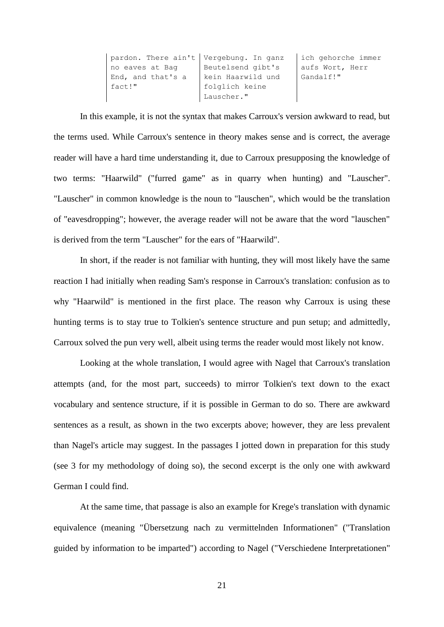```
pardon. There ain't 
Vergebung. In ganz 
no eaves at Bag 
End, and that's a 
fact!"
                     Beutelsend gibt's 
                     kein Haarwild und 
                     folglich keine 
                     Lauscher."
                                            ich gehorche immer 
                                            aufs Wort, Herr 
                                            Gandalf!"
```
In this example, it is not the syntax that makes Carroux's version awkward to read, but the terms used. While Carroux's sentence in theory makes sense and is correct, the average reader will have a hard time understanding it, due to Carroux presupposing the knowledge of two terms: "Haarwild" ("furred game" as in quarry when hunting) and "Lauscher". "Lauscher" in common knowledge is the noun to "lauschen", which would be the translation of "eavesdropping"; however, the average reader will not be aware that the word "lauschen" is derived from the term "Lauscher" for the ears of "Haarwild".

In short, if the reader is not familiar with hunting, they will most likely have the same reaction I had initially when reading Sam's response in Carroux's translation: confusion as to why "Haarwild" is mentioned in the first place. The reason why Carroux is using these hunting terms is to stay true to Tolkien's sentence structure and pun setup; and admittedly, Carroux solved the pun very well, albeit using terms the reader would most likely not know.

Looking at the whole translation, I would agree with Nagel that Carroux's translation attempts (and, for the most part, succeeds) to mirror Tolkien's text down to the exact vocabulary and sentence structure, if it is possible in German to do so. There are awkward sentences as a result, as shown in the two excerpts above; however, they are less prevalent than Nagel's article may suggest. In the passages I jotted down in preparation for this study (see 3 for my methodology of doing so), the second excerpt is the only one with awkward German I could find.

At the same time, that passage is also an example for Krege's translation with dynamic equivalence (meaning "Übersetzung nach zu vermittelnden Informationen" ("Translation guided by information to be imparted") according to Nagel ("Verschiedene Interpretationen"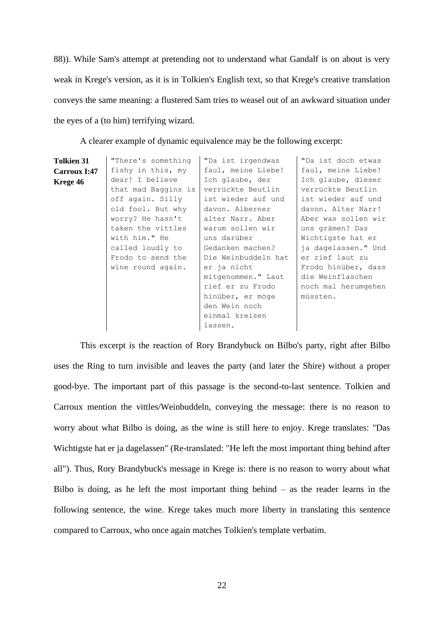88)). While Sam's attempt at pretending not to understand what Gandalf is on about is very weak in Krege's version, as it is in Tolkien's English text, so that Krege's creative translation conveys the same meaning: a flustered Sam tries to weasel out of an awkward situation under the eyes of a (to him) terrifying wizard.

| <b>Tolkien 31</b><br>Carroux I:47 | "There's something<br>fishy in this, my                                                                                                                                                                 | "Da ist irgendwas<br>faul, meine Liebe!                                                                                                                                                                                                                                                         | "Da ist doch etwas<br>faul, meine Liebe!                                                                                                                                                                                                                                   |
|-----------------------------------|---------------------------------------------------------------------------------------------------------------------------------------------------------------------------------------------------------|-------------------------------------------------------------------------------------------------------------------------------------------------------------------------------------------------------------------------------------------------------------------------------------------------|----------------------------------------------------------------------------------------------------------------------------------------------------------------------------------------------------------------------------------------------------------------------------|
| Krege 46                          | dear! I believe<br>that mad Baggins is<br>off again. Silly<br>old fool. But why<br>worry? He hasn't<br>taken the vittles<br>with him." He<br>called loudly to<br>Frodo to send the<br>wine round again. | Ich glaube, der<br>verrückte Beutlin<br>ist wieder auf und<br>davon. Alberner<br>alter Narr. Aber<br>warum sollen wir<br>uns darüber<br>Gedanken machen?<br>Die Weinbuddeln hat<br>er ja nicht<br>mitgenommen." Laut<br>rief er zu Frodo<br>hinüber, er möge<br>den Wein noch<br>einmal kreisen | Ich glaube, dieser<br>verrückte Beutlin<br>ist wieder auf und<br>davon. Alter Narr!<br>Aber was sollen wir<br>uns grämen? Das<br>Wichtigste hat er<br>ja dagelassen." Und<br>er rief laut zu<br>Frodo hinüber, dass<br>die Weinflaschen<br>noch mal herumgehen<br>müssten. |
|                                   |                                                                                                                                                                                                         | lassen.                                                                                                                                                                                                                                                                                         |                                                                                                                                                                                                                                                                            |

A clearer example of dynamic equivalence may be the following excerpt:

This excerpt is the reaction of Rory Brandybuck on Bilbo's party, right after Bilbo uses the Ring to turn invisible and leaves the party (and later the Shire) without a proper good-bye. The important part of this passage is the second-to-last sentence. Tolkien and Carroux mention the vittles/Weinbuddeln, conveying the message: there is no reason to worry about what Bilbo is doing, as the wine is still here to enjoy. Krege translates: "Das Wichtigste hat er ja dagelassen" (Re-translated: "He left the most important thing behind after all"). Thus, Rory Brandybuck's message in Krege is: there is no reason to worry about what Bilbo is doing, as he left the most important thing behind – as the reader learns in the following sentence, the wine. Krege takes much more liberty in translating this sentence compared to Carroux, who once again matches Tolkien's template verbatim.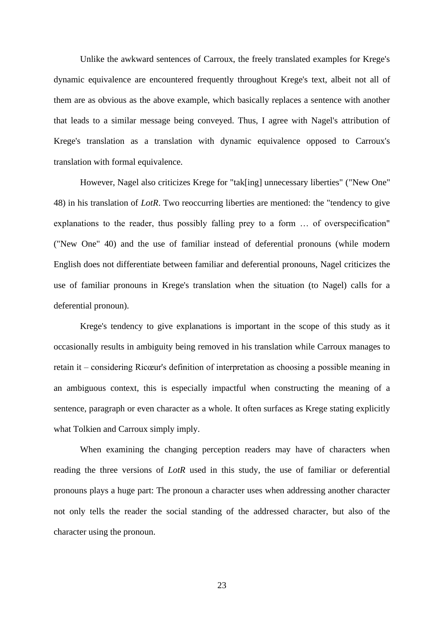Unlike the awkward sentences of Carroux, the freely translated examples for Krege's dynamic equivalence are encountered frequently throughout Krege's text, albeit not all of them are as obvious as the above example, which basically replaces a sentence with another that leads to a similar message being conveyed. Thus, I agree with Nagel's attribution of Krege's translation as a translation with dynamic equivalence opposed to Carroux's translation with formal equivalence.

However, Nagel also criticizes Krege for "tak[ing] unnecessary liberties" ("New One" 48) in his translation of *LotR*. Two reoccurring liberties are mentioned: the "tendency to give explanations to the reader, thus possibly falling prey to a form … of overspecification" ("New One" 40) and the use of familiar instead of deferential pronouns (while modern English does not differentiate between familiar and deferential pronouns, Nagel criticizes the use of familiar pronouns in Krege's translation when the situation (to Nagel) calls for a deferential pronoun).

Krege's tendency to give explanations is important in the scope of this study as it occasionally results in ambiguity being removed in his translation while Carroux manages to retain it – considering Ricœur's definition of interpretation as choosing a possible meaning in an ambiguous context, this is especially impactful when constructing the meaning of a sentence, paragraph or even character as a whole. It often surfaces as Krege stating explicitly what Tolkien and Carroux simply imply.

When examining the changing perception readers may have of characters when reading the three versions of *LotR* used in this study, the use of familiar or deferential pronouns plays a huge part: The pronoun a character uses when addressing another character not only tells the reader the social standing of the addressed character, but also of the character using the pronoun.

23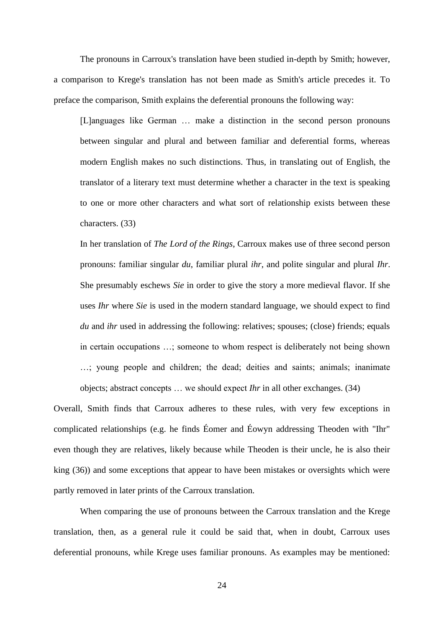The pronouns in Carroux's translation have been studied in-depth by Smith; however, a comparison to Krege's translation has not been made as Smith's article precedes it. To preface the comparison, Smith explains the deferential pronouns the following way:

[L]anguages like German … make a distinction in the second person pronouns between singular and plural and between familiar and deferential forms, whereas modern English makes no such distinctions. Thus, in translating out of English, the translator of a literary text must determine whether a character in the text is speaking to one or more other characters and what sort of relationship exists between these characters. (33)

In her translation of *The Lord of the Rings*, Carroux makes use of three second person pronouns: familiar singular *du*, familiar plural *ihr*, and polite singular and plural *Ihr*. She presumably eschews *Sie* in order to give the story a more medieval flavor. If she uses *Ihr* where *Sie* is used in the modern standard language, we should expect to find *du* and *ihr* used in addressing the following: relatives; spouses; (close) friends; equals in certain occupations …; someone to whom respect is deliberately not being shown …; young people and children; the dead; deities and saints; animals; inanimate objects; abstract concepts … we should expect *Ihr* in all other exchanges. (34)

Overall, Smith finds that Carroux adheres to these rules, with very few exceptions in complicated relationships (e.g. he finds Éomer and Éowyn addressing Theoden with "Ihr" even though they are relatives, likely because while Theoden is their uncle, he is also their king (36)) and some exceptions that appear to have been mistakes or oversights which were partly removed in later prints of the Carroux translation.

When comparing the use of pronouns between the Carroux translation and the Krege translation, then, as a general rule it could be said that, when in doubt, Carroux uses deferential pronouns, while Krege uses familiar pronouns. As examples may be mentioned: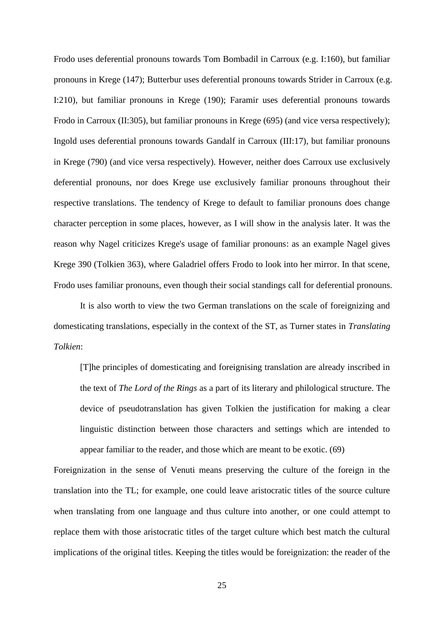Frodo uses deferential pronouns towards Tom Bombadil in Carroux (e.g. I:160), but familiar pronouns in Krege (147); Butterbur uses deferential pronouns towards Strider in Carroux (e.g. I:210), but familiar pronouns in Krege (190); Faramir uses deferential pronouns towards Frodo in Carroux (II:305), but familiar pronouns in Krege (695) (and vice versa respectively); Ingold uses deferential pronouns towards Gandalf in Carroux (III:17), but familiar pronouns in Krege (790) (and vice versa respectively). However, neither does Carroux use exclusively deferential pronouns, nor does Krege use exclusively familiar pronouns throughout their respective translations. The tendency of Krege to default to familiar pronouns does change character perception in some places, however, as I will show in the analysis later. It was the reason why Nagel criticizes Krege's usage of familiar pronouns: as an example Nagel gives Krege 390 (Tolkien 363), where Galadriel offers Frodo to look into her mirror. In that scene, Frodo uses familiar pronouns, even though their social standings call for deferential pronouns.

It is also worth to view the two German translations on the scale of foreignizing and domesticating translations, especially in the context of the ST, as Turner states in *Translating Tolkien*:

[T]he principles of domesticating and foreignising translation are already inscribed in the text of *The Lord of the Rings* as a part of its literary and philological structure. The device of pseudotranslation has given Tolkien the justification for making a clear linguistic distinction between those characters and settings which are intended to appear familiar to the reader, and those which are meant to be exotic. (69)

Foreignization in the sense of Venuti means preserving the culture of the foreign in the translation into the TL; for example, one could leave aristocratic titles of the source culture when translating from one language and thus culture into another, or one could attempt to replace them with those aristocratic titles of the target culture which best match the cultural implications of the original titles. Keeping the titles would be foreignization: the reader of the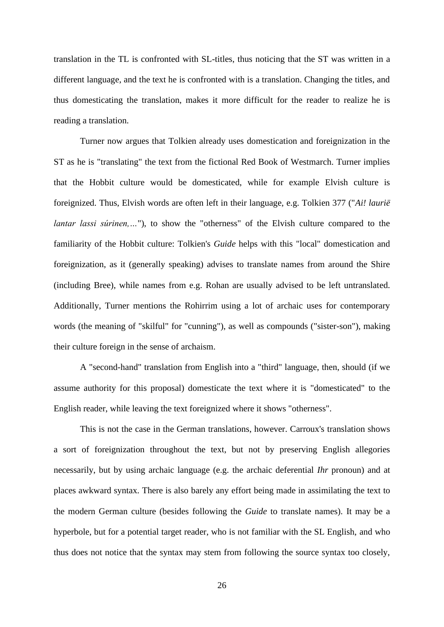translation in the TL is confronted with SL-titles, thus noticing that the ST was written in a different language, and the text he is confronted with is a translation. Changing the titles, and thus domesticating the translation, makes it more difficult for the reader to realize he is reading a translation.

Turner now argues that Tolkien already uses domestication and foreignization in the ST as he is "translating" the text from the fictional Red Book of Westmarch. Turner implies that the Hobbit culture would be domesticated, while for example Elvish culture is foreignized. Thus, Elvish words are often left in their language, e.g. Tolkien 377 ("*Ai! laurië lantar lassi súrinen,..."*), to show the "otherness" of the Elvish culture compared to the familiarity of the Hobbit culture: Tolkien's *Guide* helps with this "local" domestication and foreignization, as it (generally speaking) advises to translate names from around the Shire (including Bree), while names from e.g. Rohan are usually advised to be left untranslated. Additionally, Turner mentions the Rohirrim using a lot of archaic uses for contemporary words (the meaning of "skilful" for "cunning"), as well as compounds ("sister-son"), making their culture foreign in the sense of archaism.

A "second-hand" translation from English into a "third" language, then, should (if we assume authority for this proposal) domesticate the text where it is "domesticated" to the English reader, while leaving the text foreignized where it shows "otherness".

This is not the case in the German translations, however. Carroux's translation shows a sort of foreignization throughout the text, but not by preserving English allegories necessarily, but by using archaic language (e.g. the archaic deferential *Ihr* pronoun) and at places awkward syntax. There is also barely any effort being made in assimilating the text to the modern German culture (besides following the *Guide* to translate names). It may be a hyperbole, but for a potential target reader, who is not familiar with the SL English, and who thus does not notice that the syntax may stem from following the source syntax too closely,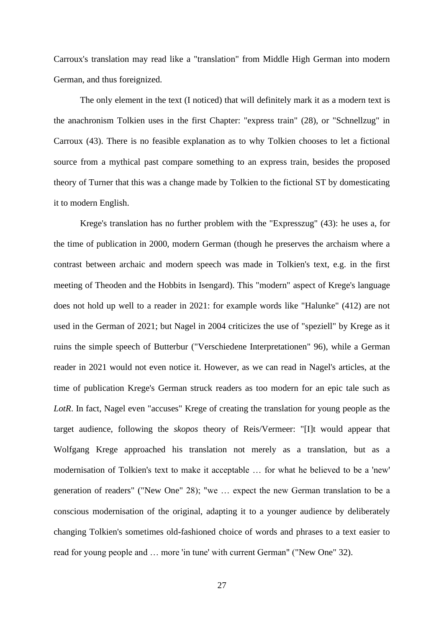Carroux's translation may read like a "translation" from Middle High German into modern German, and thus foreignized.

The only element in the text (I noticed) that will definitely mark it as a modern text is the anachronism Tolkien uses in the first Chapter: "express train" (28), or "Schnellzug" in Carroux (43). There is no feasible explanation as to why Tolkien chooses to let a fictional source from a mythical past compare something to an express train, besides the proposed theory of Turner that this was a change made by Tolkien to the fictional ST by domesticating it to modern English.

Krege's translation has no further problem with the "Expresszug" (43): he uses a, for the time of publication in 2000, modern German (though he preserves the archaism where a contrast between archaic and modern speech was made in Tolkien's text, e.g. in the first meeting of Theoden and the Hobbits in Isengard). This "modern" aspect of Krege's language does not hold up well to a reader in 2021: for example words like "Halunke" (412) are not used in the German of 2021; but Nagel in 2004 criticizes the use of "speziell" by Krege as it ruins the simple speech of Butterbur ("Verschiedene Interpretationen" 96), while a German reader in 2021 would not even notice it. However, as we can read in Nagel's articles, at the time of publication Krege's German struck readers as too modern for an epic tale such as *LotR*. In fact, Nagel even "accuses" Krege of creating the translation for young people as the target audience, following the *skopos* theory of Reis/Vermeer: "[I]t would appear that Wolfgang Krege approached his translation not merely as a translation, but as a modernisation of Tolkien's text to make it acceptable … for what he believed to be a 'new' generation of readers" ("New One" 28); "we … expect the new German translation to be a conscious modernisation of the original, adapting it to a younger audience by deliberately changing Tolkien's sometimes old-fashioned choice of words and phrases to a text easier to read for young people and … more 'in tune' with current German" ("New One" 32).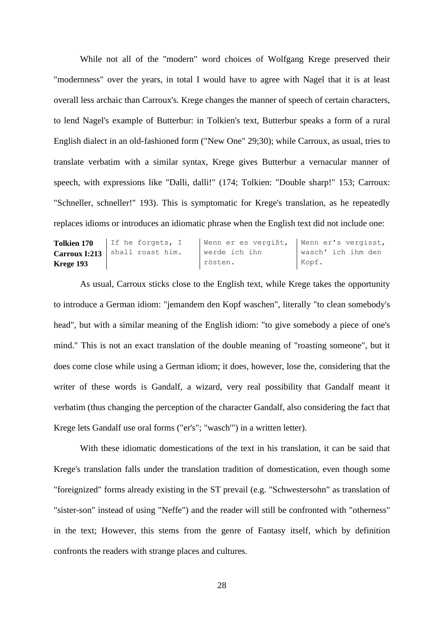While not all of the "modern" word choices of Wolfgang Krege preserved their "modernness" over the years, in total I would have to agree with Nagel that it is at least overall less archaic than Carroux's. Krege changes the manner of speech of certain characters, to lend Nagel's example of Butterbur: in Tolkien's text, Butterbur speaks a form of a rural English dialect in an old-fashioned form ("New One" 29;30); while Carroux, as usual, tries to translate verbatim with a similar syntax, Krege gives Butterbur a vernacular manner of speech, with expressions like "Dalli, dalli!" (174; Tolkien: "Double sharp!" 153; Carroux: "Schneller, schneller!" 193). This is symptomatic for Krege's translation, as he repeatedly replaces idioms or introduces an idiomatic phrase when the English text did not include one:

| <b>Tolkien 170</b> | If he forgets, I | Wenn er es vergißt, | Wenn er's vergisst, |
|--------------------|------------------|---------------------|---------------------|
| Carroux I:213      | shall roast him. | werde ich ihn       | wasch' ich ihm den  |
| Krege 193          |                  | rösten.             | Kopf.               |

As usual, Carroux sticks close to the English text, while Krege takes the opportunity to introduce a German idiom: "jemandem den Kopf waschen", literally "to clean somebody's head", but with a similar meaning of the English idiom: "to give somebody a piece of one's mind." This is not an exact translation of the double meaning of "roasting someone", but it does come close while using a German idiom; it does, however, lose the, considering that the writer of these words is Gandalf, a wizard, very real possibility that Gandalf meant it verbatim (thus changing the perception of the character Gandalf, also considering the fact that Krege lets Gandalf use oral forms ("er's"; "wasch'") in a written letter).

With these idiomatic domestications of the text in his translation, it can be said that Krege's translation falls under the translation tradition of domestication, even though some "foreignized" forms already existing in the ST prevail (e.g. "Schwestersohn" as translation of "sister-son" instead of using "Neffe") and the reader will still be confronted with "otherness" in the text; However, this stems from the genre of Fantasy itself, which by definition confronts the readers with strange places and cultures.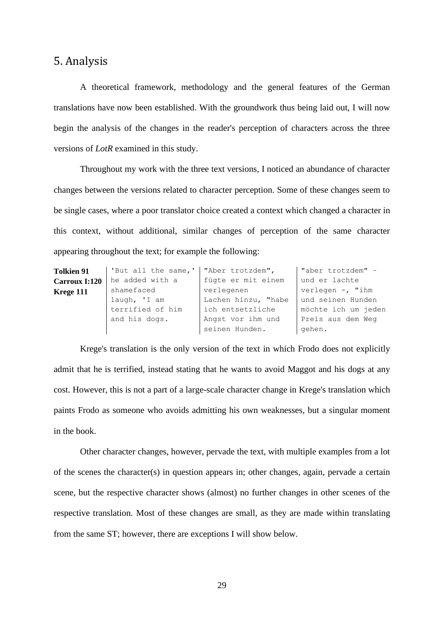# <span id="page-33-0"></span>5. Analysis

A theoretical framework, methodology and the general features of the German translations have now been established. With the groundwork thus being laid out, I will now begin the analysis of the changes in the reader's perception of characters across the three versions of *LotR* examined in this study.

Throughout my work with the three text versions, I noticed an abundance of character changes between the versions related to character perception. Some of these changes seem to be single cases, where a poor translator choice created a context which changed a character in this context, without additional, similar changes of perception of the same character appearing throughout the text; for example the following:

| <b>Tolkien 91</b> | 'But all the same,'   "Aber trotzdem", |                     | "aber trotzdem" -   |
|-------------------|----------------------------------------|---------------------|---------------------|
| Carroux I:120     | he added with a                        | fügte er mit einem  | und er lachte       |
| Krege 111         | shamefaced                             | verlegenen          | verlegen $-$ , "ihm |
|                   | laugh, 'I am                           | Lachen hinzu, "habe | und seinen Hunden   |
|                   | terrified of him                       | ich entsetzliche    | möchte ich um jeden |
|                   | and his dogs.                          | Angst vor ihm und   | Preis aus dem Weg   |
|                   |                                        | seinen Hunden.      | gehen.              |

Krege's translation is the only version of the text in which Frodo does not explicitly admit that he is terrified, instead stating that he wants to avoid Maggot and his dogs at any cost. However, this is not a part of a large-scale character change in Krege's translation which paints Frodo as someone who avoids admitting his own weaknesses, but a singular moment in the book.

Other character changes, however, pervade the text, with multiple examples from a lot of the scenes the character(s) in question appears in; other changes, again, pervade a certain scene, but the respective character shows (almost) no further changes in other scenes of the respective translation. Most of these changes are small, as they are made within translating from the same ST; however, there are exceptions I will show below.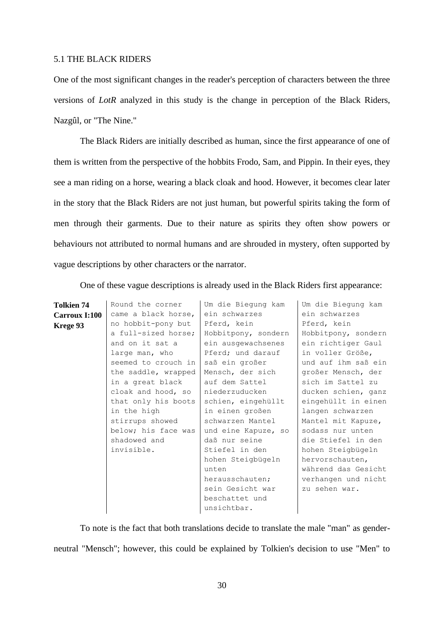#### <span id="page-34-0"></span>5.1 THE BLACK RIDERS

One of the most significant changes in the reader's perception of characters between the three versions of *LotR* analyzed in this study is the change in perception of the Black Riders, Nazgûl, or "The Nine."

The Black Riders are initially described as human, since the first appearance of one of them is written from the perspective of the hobbits Frodo, Sam, and Pippin. In their eyes, they see a man riding on a horse, wearing a black cloak and hood. However, it becomes clear later in the story that the Black Riders are not just human, but powerful spirits taking the form of men through their garments. Due to their nature as spirits they often show powers or behaviours not attributed to normal humans and are shrouded in mystery, often supported by vague descriptions by other characters or the narrator.

One of these vague descriptions is already used in the Black Riders first appearance:

| Tolkien 74    | Round the corner    | Um die Biegung kam  | Um die Biegung kam  |
|---------------|---------------------|---------------------|---------------------|
| Carroux I:100 | came a black horse, | ein schwarzes       | ein schwarzes       |
| Krege 93      | no hobbit-pony but  | Pferd, kein         | Pferd, kein         |
|               | a full-sized horse; | Hobbitpony, sondern | Hobbitpony, sondern |
|               | and on it sat a     | ein ausgewachsenes  | ein richtiger Gaul  |
|               | large man, who      | Pferd; und darauf   | in voller Größe,    |
|               | seemed to crouch in | saß ein großer      | und auf ihm saß ein |
|               | the saddle, wrapped | Mensch, der sich    | großer Mensch, der  |
|               | in a great black    | auf dem Sattel      | sich im Sattel zu   |
|               | cloak and hood, so  | niederzuducken      | ducken schien, ganz |
|               | that only his boots | schien, eingehüllt  | eingehüllt in einen |
|               | in the high         | in einen großen     | langen schwarzen    |
|               | stirrups showed     | schwarzen Mantel    | Mantel mit Kapuze,  |
|               | below; his face was | und eine Kapuze, so | sodass nur unten    |
|               | shadowed and        | daß nur seine       | die Stiefel in den  |
|               | invisible.          | Stiefel in den      | hohen Steigbügeln   |
|               |                     | hohen Steigbügeln   | hervorschauten,     |
|               |                     | unten               | während das Gesicht |
|               |                     | herausschauten;     | verhangen und nicht |
|               |                     | sein Gesicht war    | zu sehen war.       |
|               |                     | beschattet und      |                     |
|               |                     | unsichtbar.         |                     |

To note is the fact that both translations decide to translate the male "man" as genderneutral "Mensch"; however, this could be explained by Tolkien's decision to use "Men" to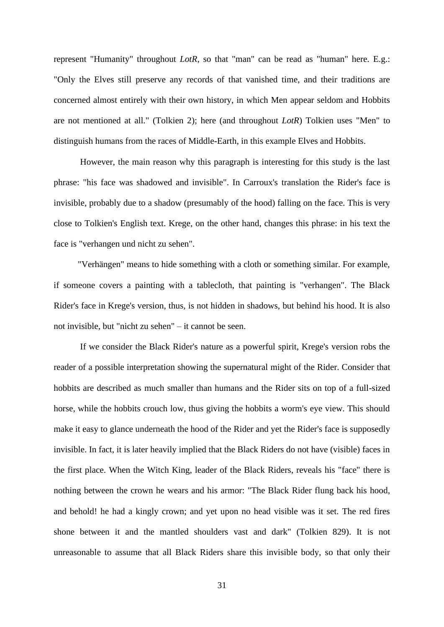represent "Humanity" throughout *LotR*, so that "man" can be read as "human" here. E.g.: "Only the Elves still preserve any records of that vanished time, and their traditions are concerned almost entirely with their own history, in which Men appear seldom and Hobbits are not mentioned at all." (Tolkien 2); here (and throughout *LotR*) Tolkien uses "Men" to distinguish humans from the races of Middle-Earth, in this example Elves and Hobbits.

However, the main reason why this paragraph is interesting for this study is the last phrase: "his face was shadowed and invisible". In Carroux's translation the Rider's face is invisible, probably due to a shadow (presumably of the hood) falling on the face. This is very close to Tolkien's English text. Krege, on the other hand, changes this phrase: in his text the face is "verhangen und nicht zu sehen".

"Verhängen" means to hide something with a cloth or something similar. For example, if someone covers a painting with a tablecloth, that painting is "verhangen". The Black Rider's face in Krege's version, thus, is not hidden in shadows, but behind his hood. It is also not invisible, but "nicht zu sehen" – it cannot be seen.

If we consider the Black Rider's nature as a powerful spirit, Krege's version robs the reader of a possible interpretation showing the supernatural might of the Rider. Consider that hobbits are described as much smaller than humans and the Rider sits on top of a full-sized horse, while the hobbits crouch low, thus giving the hobbits a worm's eye view. This should make it easy to glance underneath the hood of the Rider and yet the Rider's face is supposedly invisible. In fact, it is later heavily implied that the Black Riders do not have (visible) faces in the first place. When the Witch King, leader of the Black Riders, reveals his "face" there is nothing between the crown he wears and his armor: "The Black Rider flung back his hood, and behold! he had a kingly crown; and yet upon no head visible was it set. The red fires shone between it and the mantled shoulders vast and dark" (Tolkien 829). It is not unreasonable to assume that all Black Riders share this invisible body, so that only their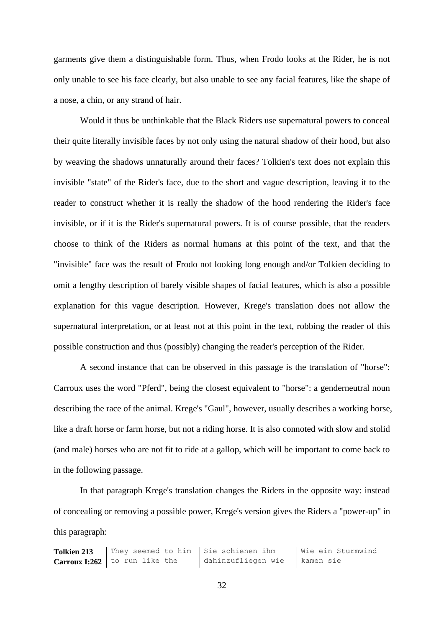garments give them a distinguishable form. Thus, when Frodo looks at the Rider, he is not only unable to see his face clearly, but also unable to see any facial features, like the shape of a nose, a chin, or any strand of hair.

Would it thus be unthinkable that the Black Riders use supernatural powers to conceal their quite literally invisible faces by not only using the natural shadow of their hood, but also by weaving the shadows unnaturally around their faces? Tolkien's text does not explain this invisible "state" of the Rider's face, due to the short and vague description, leaving it to the reader to construct whether it is really the shadow of the hood rendering the Rider's face invisible, or if it is the Rider's supernatural powers. It is of course possible, that the readers choose to think of the Riders as normal humans at this point of the text, and that the "invisible" face was the result of Frodo not looking long enough and/or Tolkien deciding to omit a lengthy description of barely visible shapes of facial features, which is also a possible explanation for this vague description. However, Krege's translation does not allow the supernatural interpretation, or at least not at this point in the text, robbing the reader of this possible construction and thus (possibly) changing the reader's perception of the Rider.

A second instance that can be observed in this passage is the translation of "horse": Carroux uses the word "Pferd", being the closest equivalent to "horse": a genderneutral noun describing the race of the animal. Krege's "Gaul", however, usually describes a working horse, like a draft horse or farm horse, but not a riding horse. It is also connoted with slow and stolid (and male) horses who are not fit to ride at a gallop, which will be important to come back to in the following passage.

In that paragraph Krege's translation changes the Riders in the opposite way: instead of concealing or removing a possible power, Krege's version gives the Riders a "power-up" in this paragraph: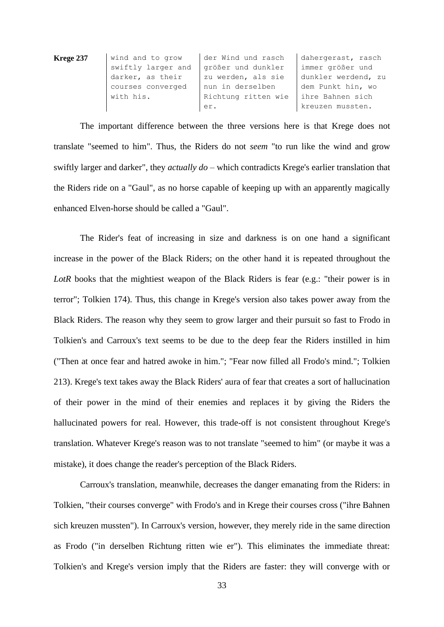| Krege 237 | wind and to grow   | der Wind und rasch  | dahergerast, rasch  |
|-----------|--------------------|---------------------|---------------------|
|           | swiftly larger and | größer und dunkler  | immer größer und    |
|           | darker, as their   | zu werden, als sie  | dunkler werdend, zu |
|           | courses converged  | nun in derselben    | dem Punkt hin, wo   |
|           | with his.          | Richtung ritten wie | ihre Bahnen sich    |
|           |                    | er.                 | kreuzen mussten.    |

The important difference between the three versions here is that Krege does not translate "seemed to him". Thus, the Riders do not *seem* "to run like the wind and grow swiftly larger and darker", they *actually do* – which contradicts Krege's earlier translation that the Riders ride on a "Gaul", as no horse capable of keeping up with an apparently magically enhanced Elven-horse should be called a "Gaul".

The Rider's feat of increasing in size and darkness is on one hand a significant increase in the power of the Black Riders; on the other hand it is repeated throughout the *LotR* books that the mightiest weapon of the Black Riders is fear (e.g.: "their power is in terror"; Tolkien 174). Thus, this change in Krege's version also takes power away from the Black Riders. The reason why they seem to grow larger and their pursuit so fast to Frodo in Tolkien's and Carroux's text seems to be due to the deep fear the Riders instilled in him ("Then at once fear and hatred awoke in him."; "Fear now filled all Frodo's mind."; Tolkien 213). Krege's text takes away the Black Riders' aura of fear that creates a sort of hallucination of their power in the mind of their enemies and replaces it by giving the Riders the hallucinated powers for real. However, this trade-off is not consistent throughout Krege's translation. Whatever Krege's reason was to not translate "seemed to him" (or maybe it was a mistake), it does change the reader's perception of the Black Riders.

Carroux's translation, meanwhile, decreases the danger emanating from the Riders: in Tolkien, "their courses converge" with Frodo's and in Krege their courses cross ("ihre Bahnen sich kreuzen mussten"). In Carroux's version, however, they merely ride in the same direction as Frodo ("in derselben Richtung ritten wie er"). This eliminates the immediate threat: Tolkien's and Krege's version imply that the Riders are faster: they will converge with or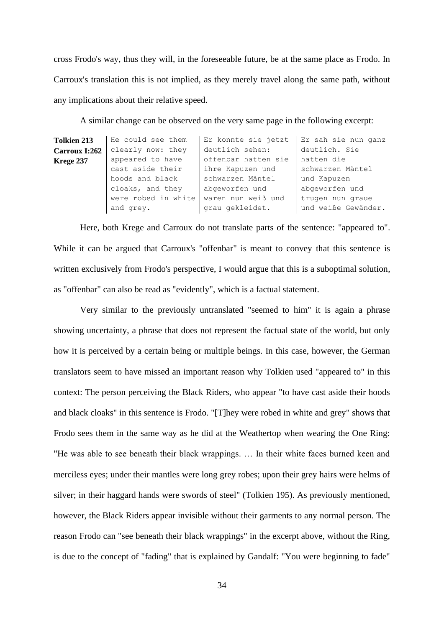cross Frodo's way, thus they will, in the foreseeable future, be at the same place as Frodo. In Carroux's translation this is not implied, as they merely travel along the same path, without any implications about their relative speed.

A similar change can be observed on the very same page in the following excerpt:

| Er konnte sie jetzt<br>Er sah sie nun ganz |
|--------------------------------------------|
| deutlich. Sie                              |
| offenbar hatten sie<br>hatten die          |
| schwarzen Mäntel                           |
| und Kapuzen                                |
| abgeworfen und                             |
| waren nun weiß und<br>trugen nun graue     |
| und weiße Gewänder.                        |
|                                            |

Here, both Krege and Carroux do not translate parts of the sentence: "appeared to". While it can be argued that Carroux's "offenbar" is meant to convey that this sentence is written exclusively from Frodo's perspective, I would argue that this is a suboptimal solution, as "offenbar" can also be read as "evidently", which is a factual statement.

Very similar to the previously untranslated "seemed to him" it is again a phrase showing uncertainty, a phrase that does not represent the factual state of the world, but only how it is perceived by a certain being or multiple beings. In this case, however, the German translators seem to have missed an important reason why Tolkien used "appeared to" in this context: The person perceiving the Black Riders, who appear "to have cast aside their hoods and black cloaks" in this sentence is Frodo. "[T]hey were robed in white and grey" shows that Frodo sees them in the same way as he did at the Weathertop when wearing the One Ring: "He was able to see beneath their black wrappings. … In their white faces burned keen and merciless eyes; under their mantles were long grey robes; upon their grey hairs were helms of silver; in their haggard hands were swords of steel" (Tolkien 195). As previously mentioned, however, the Black Riders appear invisible without their garments to any normal person. The reason Frodo can "see beneath their black wrappings" in the excerpt above, without the Ring, is due to the concept of "fading" that is explained by Gandalf: "You were beginning to fade"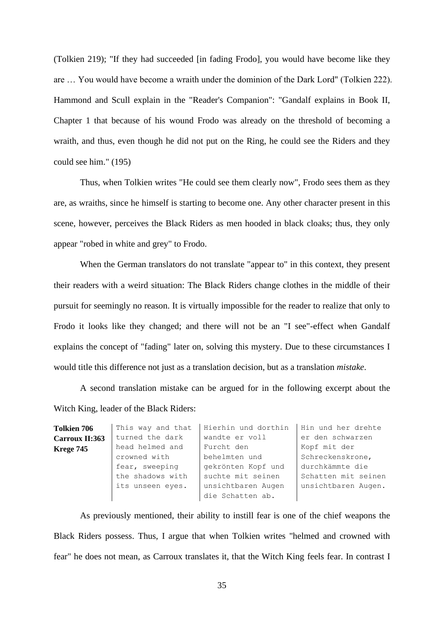(Tolkien 219); "If they had succeeded [in fading Frodo], you would have become like they are … You would have become a wraith under the dominion of the Dark Lord" (Tolkien 222). Hammond and Scull explain in the "Reader's Companion": "Gandalf explains in Book II, Chapter 1 that because of his wound Frodo was already on the threshold of becoming a wraith, and thus, even though he did not put on the Ring, he could see the Riders and they could see him." (195)

Thus, when Tolkien writes "He could see them clearly now", Frodo sees them as they are, as wraiths, since he himself is starting to become one. Any other character present in this scene, however, perceives the Black Riders as men hooded in black cloaks; thus, they only appear "robed in white and grey" to Frodo.

When the German translators do not translate "appear to" in this context, they present their readers with a weird situation: The Black Riders change clothes in the middle of their pursuit for seemingly no reason. It is virtually impossible for the reader to realize that only to Frodo it looks like they changed; and there will not be an "I see"-effect when Gandalf explains the concept of "fading" later on, solving this mystery. Due to these circumstances I would title this difference not just as a translation decision, but as a translation *mistake*.

A second translation mistake can be argued for in the following excerpt about the Witch King, leader of the Black Riders:

| <b>Tolkien 706</b> | This way and that | Hierhin und dorthin | Hin und her drehte  |
|--------------------|-------------------|---------------------|---------------------|
| Carroux II:363     | turned the dark   | wandte er voll      | er den schwarzen    |
| <b>Krege 745</b>   | head helmed and   | Furcht den          | Kopf mit der        |
|                    | crowned with      | behelmten und       | Schreckenskrone,    |
|                    | fear, sweeping    | gekrönten Kopf und  | durchkämmte die     |
|                    | the shadows with  | suchte mit seinen   | Schatten mit seinen |
|                    | its unseen eyes.  | unsichtbaren Augen  | unsichtbaren Augen. |
|                    |                   | die Schatten ab.    |                     |

As previously mentioned, their ability to instill fear is one of the chief weapons the Black Riders possess. Thus, I argue that when Tolkien writes "helmed and crowned with fear" he does not mean, as Carroux translates it, that the Witch King feels fear. In contrast I

35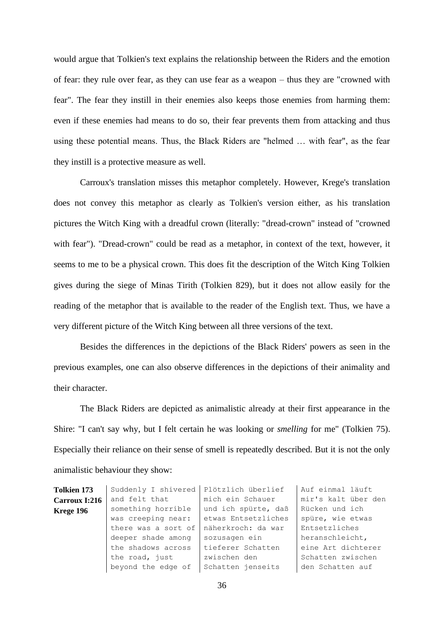would argue that Tolkien's text explains the relationship between the Riders and the emotion of fear: they rule over fear, as they can use fear as a weapon – thus they are "crowned with fear". The fear they instill in their enemies also keeps those enemies from harming them: even if these enemies had means to do so, their fear prevents them from attacking and thus using these potential means. Thus, the Black Riders are "helmed … with fear", as the fear they instill is a protective measure as well.

Carroux's translation misses this metaphor completely. However, Krege's translation does not convey this metaphor as clearly as Tolkien's version either, as his translation pictures the Witch King with a dreadful crown (literally: "dread-crown" instead of "crowned with fear"). "Dread-crown" could be read as a metaphor, in context of the text, however, it seems to me to be a physical crown. This does fit the description of the Witch King Tolkien gives during the siege of Minas Tirith (Tolkien 829), but it does not allow easily for the reading of the metaphor that is available to the reader of the English text. Thus, we have a very different picture of the Witch King between all three versions of the text.

Besides the differences in the depictions of the Black Riders' powers as seen in the previous examples, one can also observe differences in the depictions of their animality and their character.

The Black Riders are depicted as animalistic already at their first appearance in the Shire: "I can't say why, but I felt certain he was looking or *smelling* for me" (Tolkien 75). Especially their reliance on their sense of smell is repeatedly described. But it is not the only animalistic behaviour they show:

| <b>Tolkien 173</b> | Suddenly I shivered | Plötzlich überlief  | Auf einmal läuft    |
|--------------------|---------------------|---------------------|---------------------|
| Carroux I:216      | and felt that       | mich ein Schauer    | mir's kalt über den |
| Krege 196          | something horrible  | und ich spürte, daß | Rücken und ich      |
|                    | was creeping near:  | etwas Entsetzliches | spüre, wie etwas    |
|                    | there was a sort of | näherkroch: da war  | Entsetzliches       |
|                    | deeper shade among  | sozusagen ein       | heranschleicht,     |
|                    | the shadows across  | tieferer Schatten   | eine Art dichterer  |
|                    | the road, just      | zwischen den        | Schatten zwischen   |
|                    | beyond the edge of  | Schatten jenseits   | den Schatten auf    |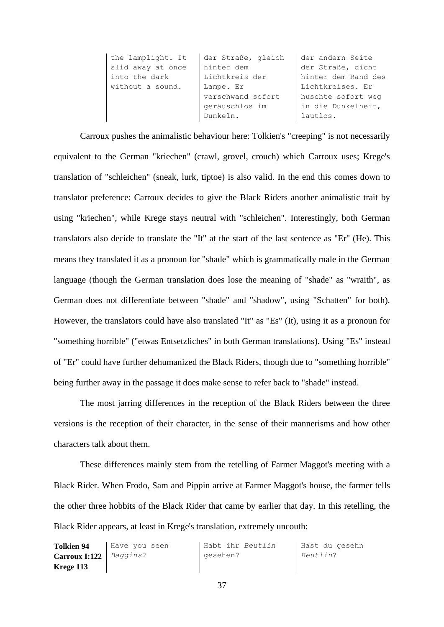| the lamplight. It | der Straße, gleich            | der andern Seite    |
|-------------------|-------------------------------|---------------------|
| slid away at once | hinter dem                    | der Straße, dicht   |
| into the dark     | Lichtkreis der                | hinter dem Rand des |
| without a sound.  | Lichtkreises. Er<br>Lampe. Er |                     |
|                   | verschwand sofort             | huschte sofort weg  |
|                   | geräuschlos im                | in die Dunkelheit,  |
|                   | Dunkeln.                      | lautlos.            |

Carroux pushes the animalistic behaviour here: Tolkien's "creeping" is not necessarily equivalent to the German "kriechen" (crawl, grovel, crouch) which Carroux uses; Krege's translation of "schleichen" (sneak, lurk, tiptoe) is also valid. In the end this comes down to translator preference: Carroux decides to give the Black Riders another animalistic trait by using "kriechen", while Krege stays neutral with "schleichen". Interestingly, both German translators also decide to translate the "It" at the start of the last sentence as "Er" (He). This means they translated it as a pronoun for "shade" which is grammatically male in the German language (though the German translation does lose the meaning of "shade" as "wraith", as German does not differentiate between "shade" and "shadow", using "Schatten" for both). However, the translators could have also translated "It" as "Es" (It), using it as a pronoun for "something horrible" ("etwas Entsetzliches" in both German translations). Using "Es" instead of "Er" could have further dehumanized the Black Riders, though due to "something horrible" being further away in the passage it does make sense to refer back to "shade" instead.

The most jarring differences in the reception of the Black Riders between the three versions is the reception of their character, in the sense of their mannerisms and how other characters talk about them.

These differences mainly stem from the retelling of Farmer Maggot's meeting with a Black Rider. When Frodo, Sam and Pippin arrive at Farmer Maggot's house, the farmer tells the other three hobbits of the Black Rider that came by earlier that day. In this retelling, the Black Rider appears, at least in Krege's translation, extremely uncouth:

| <b>Tolkien 94</b>                 | Have you seen | Habt ihr Beutlin | Hast du gesehn |
|-----------------------------------|---------------|------------------|----------------|
| <b>Carroux I:122</b>   $Baggins?$ |               | gesehen?         | Beutlin?       |
| Krege 113                         |               |                  |                |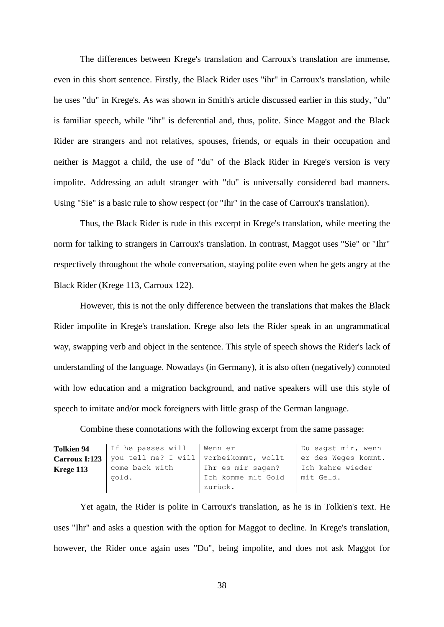The differences between Krege's translation and Carroux's translation are immense, even in this short sentence. Firstly, the Black Rider uses "ihr" in Carroux's translation, while he uses "du" in Krege's. As was shown in Smith's article discussed earlier in this study, "du" is familiar speech, while "ihr" is deferential and, thus, polite. Since Maggot and the Black Rider are strangers and not relatives, spouses, friends, or equals in their occupation and neither is Maggot a child, the use of "du" of the Black Rider in Krege's version is very impolite. Addressing an adult stranger with "du" is universally considered bad manners. Using "Sie" is a basic rule to show respect (or "Ihr" in the case of Carroux's translation).

Thus, the Black Rider is rude in this excerpt in Krege's translation, while meeting the norm for talking to strangers in Carroux's translation. In contrast, Maggot uses "Sie" or "Ihr" respectively throughout the whole conversation, staying polite even when he gets angry at the Black Rider (Krege 113, Carroux 122).

However, this is not the only difference between the translations that makes the Black Rider impolite in Krege's translation. Krege also lets the Rider speak in an ungrammatical way, swapping verb and object in the sentence. This style of speech shows the Rider's lack of understanding of the language. Nowadays (in Germany), it is also often (negatively) connoted with low education and a migration background, and native speakers will use this style of speech to imitate and/or mock foreigners with little grasp of the German language.

Combine these connotations with the following excerpt from the same passage:

| <b>Tolkien 94</b> | If he passes will   Wenn er            |                    | Du sagst mir, wenn  |
|-------------------|----------------------------------------|--------------------|---------------------|
| Carroux I:123     | you tell me? I will vorbeikommt, wollt |                    | er des Weges kommt. |
| Krege 113         | come back with                         | Ihr es mir sagen?  | Ich kehre wieder    |
|                   | gold.                                  | Ich komme mit Gold | mit Geld.           |
|                   |                                        | zurück.            |                     |

Yet again, the Rider is polite in Carroux's translation, as he is in Tolkien's text. He uses "Ihr" and asks a question with the option for Maggot to decline. In Krege's translation, however, the Rider once again uses "Du", being impolite, and does not ask Maggot for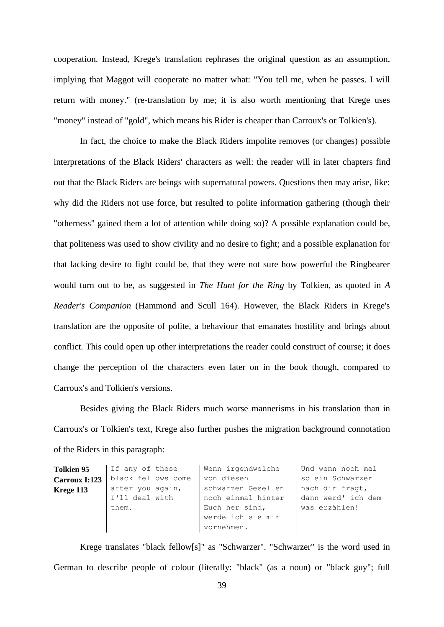cooperation. Instead, Krege's translation rephrases the original question as an assumption, implying that Maggot will cooperate no matter what: "You tell me, when he passes. I will return with money." (re-translation by me; it is also worth mentioning that Krege uses "money" instead of "gold", which means his Rider is cheaper than Carroux's or Tolkien's).

In fact, the choice to make the Black Riders impolite removes (or changes) possible interpretations of the Black Riders' characters as well: the reader will in later chapters find out that the Black Riders are beings with supernatural powers. Questions then may arise, like: why did the Riders not use force, but resulted to polite information gathering (though their "otherness" gained them a lot of attention while doing so)? A possible explanation could be, that politeness was used to show civility and no desire to fight; and a possible explanation for that lacking desire to fight could be, that they were not sure how powerful the Ringbearer would turn out to be, as suggested in *The Hunt for the Ring* by Tolkien, as quoted in *A Reader's Companion* (Hammond and Scull 164). However, the Black Riders in Krege's translation are the opposite of polite, a behaviour that emanates hostility and brings about conflict. This could open up other interpretations the reader could construct of course; it does change the perception of the characters even later on in the book though, compared to Carroux's and Tolkien's versions.

Besides giving the Black Riders much worse mannerisms in his translation than in Carroux's or Tolkien's text, Krege also further pushes the migration background connotation of the Riders in this paragraph:

| <b>Tolkien 95</b> | If any of these    | Wenn irgendwelche  | Und wenn noch mal  |
|-------------------|--------------------|--------------------|--------------------|
| Carroux I:123     | black fellows come | von diesen         | so ein Schwarzer   |
| Krege 113         | after you again,   | schwarzen Gesellen | nach dir fragt,    |
|                   | I'll deal with     | noch einmal hinter | dann werd' ich dem |
|                   | them.              | Euch her sind,     | was erzählen!      |
|                   |                    | werde ich sie mir  |                    |
|                   |                    | vornehmen.         |                    |

Krege translates "black fellow[s]" as "Schwarzer". "Schwarzer" is the word used in German to describe people of colour (literally: "black" (as a noun) or "black guy"; full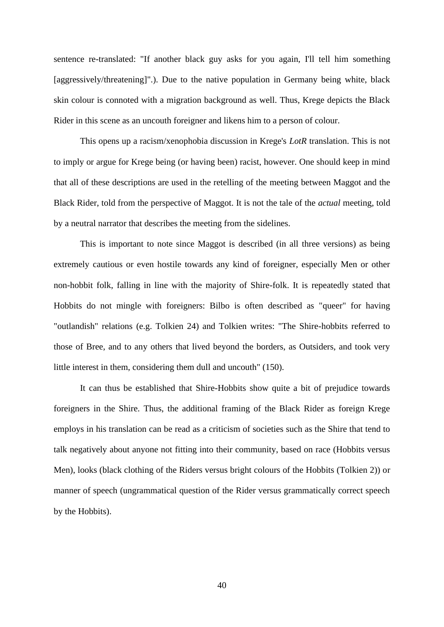sentence re-translated: "If another black guy asks for you again, I'll tell him something [aggressively/threatening]".). Due to the native population in Germany being white, black skin colour is connoted with a migration background as well. Thus, Krege depicts the Black Rider in this scene as an uncouth foreigner and likens him to a person of colour.

This opens up a racism/xenophobia discussion in Krege's *LotR* translation. This is not to imply or argue for Krege being (or having been) racist, however. One should keep in mind that all of these descriptions are used in the retelling of the meeting between Maggot and the Black Rider, told from the perspective of Maggot. It is not the tale of the *actual* meeting, told by a neutral narrator that describes the meeting from the sidelines.

This is important to note since Maggot is described (in all three versions) as being extremely cautious or even hostile towards any kind of foreigner, especially Men or other non-hobbit folk, falling in line with the majority of Shire-folk. It is repeatedly stated that Hobbits do not mingle with foreigners: Bilbo is often described as "queer" for having "outlandish" relations (e.g. Tolkien 24) and Tolkien writes: "The Shire-hobbits referred to those of Bree, and to any others that lived beyond the borders, as Outsiders, and took very little interest in them, considering them dull and uncouth" (150).

It can thus be established that Shire-Hobbits show quite a bit of prejudice towards foreigners in the Shire. Thus, the additional framing of the Black Rider as foreign Krege employs in his translation can be read as a criticism of societies such as the Shire that tend to talk negatively about anyone not fitting into their community, based on race (Hobbits versus Men), looks (black clothing of the Riders versus bright colours of the Hobbits (Tolkien 2)) or manner of speech (ungrammatical question of the Rider versus grammatically correct speech by the Hobbits).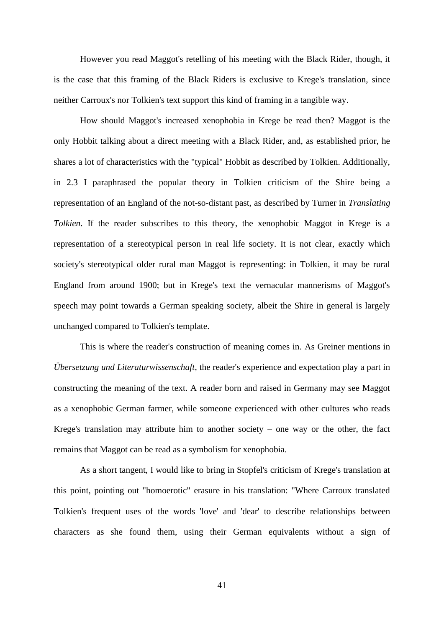However you read Maggot's retelling of his meeting with the Black Rider, though, it is the case that this framing of the Black Riders is exclusive to Krege's translation, since neither Carroux's nor Tolkien's text support this kind of framing in a tangible way.

How should Maggot's increased xenophobia in Krege be read then? Maggot is the only Hobbit talking about a direct meeting with a Black Rider, and, as established prior, he shares a lot of characteristics with the "typical" Hobbit as described by Tolkien. Additionally, in 2.3 I paraphrased the popular theory in Tolkien criticism of the Shire being a representation of an England of the not-so-distant past, as described by Turner in *Translating Tolkien*. If the reader subscribes to this theory, the xenophobic Maggot in Krege is a representation of a stereotypical person in real life society. It is not clear, exactly which society's stereotypical older rural man Maggot is representing: in Tolkien, it may be rural England from around 1900; but in Krege's text the vernacular mannerisms of Maggot's speech may point towards a German speaking society, albeit the Shire in general is largely unchanged compared to Tolkien's template.

This is where the reader's construction of meaning comes in. As Greiner mentions in *Übersetzung und Literaturwissenschaft*, the reader's experience and expectation play a part in constructing the meaning of the text. A reader born and raised in Germany may see Maggot as a xenophobic German farmer, while someone experienced with other cultures who reads Krege's translation may attribute him to another society  $-$  one way or the other, the fact remains that Maggot can be read as a symbolism for xenophobia.

As a short tangent, I would like to bring in Stopfel's criticism of Krege's translation at this point, pointing out "homoerotic" erasure in his translation: "Where Carroux translated Tolkien's frequent uses of the words 'love' and 'dear' to describe relationships between characters as she found them, using their German equivalents without a sign of

41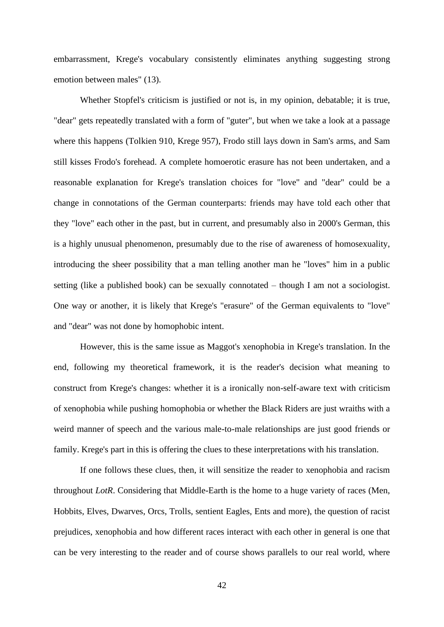embarrassment, Krege's vocabulary consistently eliminates anything suggesting strong emotion between males" (13).

Whether Stopfel's criticism is justified or not is, in my opinion, debatable; it is true, "dear" gets repeatedly translated with a form of "guter", but when we take a look at a passage where this happens (Tolkien 910, Krege 957), Frodo still lays down in Sam's arms, and Sam still kisses Frodo's forehead. A complete homoerotic erasure has not been undertaken, and a reasonable explanation for Krege's translation choices for "love" and "dear" could be a change in connotations of the German counterparts: friends may have told each other that they "love" each other in the past, but in current, and presumably also in 2000's German, this is a highly unusual phenomenon, presumably due to the rise of awareness of homosexuality, introducing the sheer possibility that a man telling another man he "loves" him in a public setting (like a published book) can be sexually connotated – though I am not a sociologist. One way or another, it is likely that Krege's "erasure" of the German equivalents to "love" and "dear" was not done by homophobic intent.

However, this is the same issue as Maggot's xenophobia in Krege's translation. In the end, following my theoretical framework, it is the reader's decision what meaning to construct from Krege's changes: whether it is a ironically non-self-aware text with criticism of xenophobia while pushing homophobia or whether the Black Riders are just wraiths with a weird manner of speech and the various male-to-male relationships are just good friends or family. Krege's part in this is offering the clues to these interpretations with his translation.

If one follows these clues, then, it will sensitize the reader to xenophobia and racism throughout *LotR*. Considering that Middle-Earth is the home to a huge variety of races (Men, Hobbits, Elves, Dwarves, Orcs, Trolls, sentient Eagles, Ents and more), the question of racist prejudices, xenophobia and how different races interact with each other in general is one that can be very interesting to the reader and of course shows parallels to our real world, where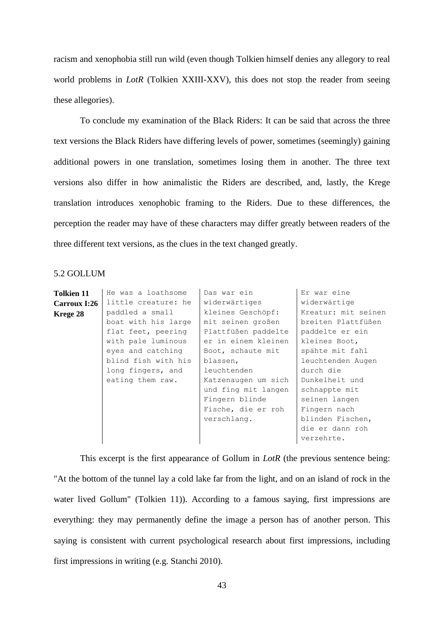racism and xenophobia still run wild (even though Tolkien himself denies any allegory to real world problems in *LotR* (Tolkien XXIII-XXV), this does not stop the reader from seeing these allegories).

To conclude my examination of the Black Riders: It can be said that across the three text versions the Black Riders have differing levels of power, sometimes (seemingly) gaining additional powers in one translation, sometimes losing them in another. The three text versions also differ in how animalistic the Riders are described, and, lastly, the Krege translation introduces xenophobic framing to the Riders. Due to these differences, the perception the reader may have of these characters may differ greatly between readers of the three different text versions, as the clues in the text changed greatly.

# 5.2 GOLLUM

| <b>Tolkien 11</b>   | He was a loathsome  | Das war ein         | Er war eine         |
|---------------------|---------------------|---------------------|---------------------|
| <b>Carroux I:26</b> | little creature: he | widerwärtiges       | widerwärtige        |
| Krege 28            | paddled a small     | kleines Geschöpf:   | Kreatur: mit seinen |
|                     | boat with his large | mit seinen großen   | breiten Plattfüßen  |
|                     | flat feet, peering  | Plattfüßen paddelte | paddelte er ein     |
|                     | with pale luminous  | er in einem kleinen | kleines Boot,       |
|                     | eyes and catching   | Boot, schaute mit   | spähte mit fahl     |
|                     | blind fish with his | blassen,            | leuchtenden Augen   |
|                     | long fingers, and   | leuchtenden         | durch die           |
|                     | eating them raw.    | Katzenaugen um sich | Dunkelheit und      |
|                     |                     | und fing mit langen | schnappte mit       |
|                     |                     | Fingern blinde      | seinen langen       |
|                     |                     | Fische, die er roh  | Fingern nach        |
|                     |                     | verschlang.         | blinden Fischen,    |
|                     |                     |                     | die er dann roh     |
|                     |                     |                     | verzehrte.          |
|                     |                     |                     |                     |

This excerpt is the first appearance of Gollum in *LotR* (the previous sentence being: "At the bottom of the tunnel lay a cold lake far from the light, and on an island of rock in the water lived Gollum" (Tolkien 11)). According to a famous saying, first impressions are everything: they may permanently define the image a person has of another person. This saying is consistent with current psychological research about first impressions, including first impressions in writing (e.g. Stanchi 2010).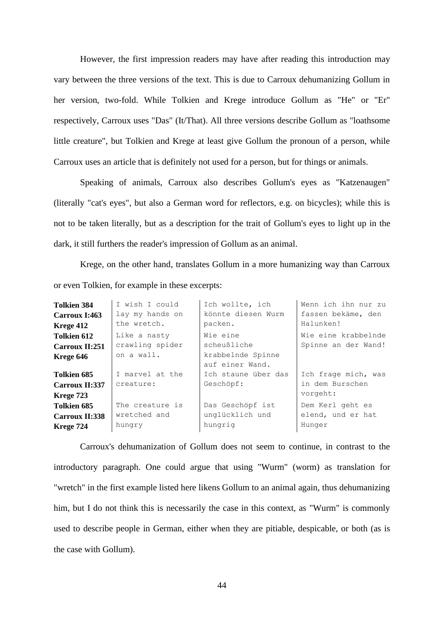However, the first impression readers may have after reading this introduction may vary between the three versions of the text. This is due to Carroux dehumanizing Gollum in her version, two-fold. While Tolkien and Krege introduce Gollum as "He" or "Er" respectively, Carroux uses "Das" (It/That). All three versions describe Gollum as "loathsome little creature", but Tolkien and Krege at least give Gollum the pronoun of a person, while Carroux uses an article that is definitely not used for a person, but for things or animals.

Speaking of animals, Carroux also describes Gollum's eyes as "Katzenaugen" (literally "cat's eyes", but also a German word for reflectors, e.g. on bicycles); while this is not to be taken literally, but as a description for the trait of Gollum's eyes to light up in the dark, it still furthers the reader's impression of Gollum as an animal.

Krege, on the other hand, translates Gollum in a more humanizing way than Carroux or even Tolkien, for example in these excerpts:

| <b>Tolkien 384</b>    | I wish I could  | Ich wollte, ich     | Wenn ich ihn nur zu |
|-----------------------|-----------------|---------------------|---------------------|
| Carroux I:463         | lay my hands on | könnte diesen Wurm  | fassen bekäme, den  |
| Krege 412             | the wretch.     | packen.             | Halunken!           |
| Tolkien 612           | Like a nasty    | Wie eine            | Wie eine krabbelnde |
| Carroux II:251        | crawling spider | scheußliche         | Spinne an der Wand! |
| Krege 646             | on a wall.      | krabbelnde Spinne   |                     |
|                       |                 | auf einer Wand.     |                     |
| Tolkien 685           | I marvel at the | Ich staune über das | Ich frage mich, was |
| Carroux II:337        | creature:       | Geschöpf:           | in dem Burschen     |
| Krege 723             |                 |                     | vorgeht:            |
| Tolkien 685           | The creature is | Das Geschöpf ist    | Dem Kerl geht es    |
| <b>Carroux II:338</b> | wretched and    | unglücklich und     | elend, und er hat   |
| Krege 724             | hungry          | hungrig             | Hunger              |

Carroux's dehumanization of Gollum does not seem to continue, in contrast to the introductory paragraph. One could argue that using "Wurm" (worm) as translation for "wretch" in the first example listed here likens Gollum to an animal again, thus dehumanizing him, but I do not think this is necessarily the case in this context, as "Wurm" is commonly used to describe people in German, either when they are pitiable, despicable, or both (as is the case with Gollum).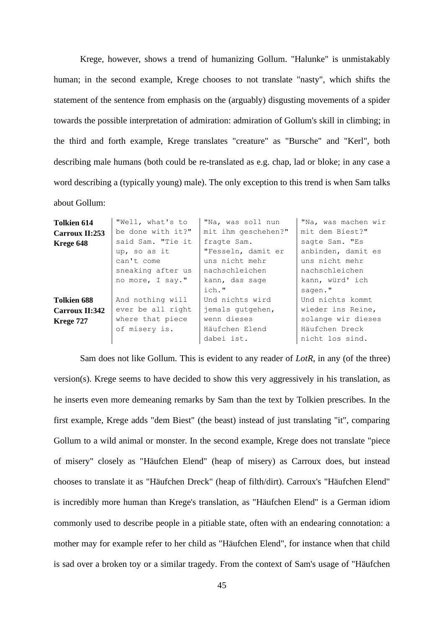Krege, however, shows a trend of humanizing Gollum. "Halunke" is unmistakably human; in the second example, Krege chooses to not translate "nasty", which shifts the statement of the sentence from emphasis on the (arguably) disgusting movements of a spider towards the possible interpretation of admiration: admiration of Gollum's skill in climbing; in the third and forth example, Krege translates "creature" as "Bursche" and "Kerl", both describing male humans (both could be re-translated as e.g. chap, lad or bloke; in any case a word describing a (typically young) male). The only exception to this trend is when Sam talks about Gollum:

| <b>Tolkien 614</b>    | "Well, what's to  | "Na, was soll nun   | "Na, was machen wir |
|-----------------------|-------------------|---------------------|---------------------|
| Carroux II:253        | be done with it?" | mit ihm geschehen?" | mit dem Biest?"     |
| Krege 648             | said Sam. "Tie it | fragte Sam.         | sagte Sam. "Es      |
|                       | up, so as it      | "Fesseln, damit er  | anbinden, damit es  |
|                       | can't come        | uns nicht mehr      | uns nicht mehr      |
|                       | sneaking after us | nachschleichen      | nachschleichen      |
|                       | no more, I say."  | kann, das sage      | kann, würd' ich     |
|                       |                   | ich."               | sagen."             |
| Tolkien 688           | And nothing will  | Und nichts wird     | Und nichts kommt    |
| <b>Carroux II:342</b> | ever be all right | jemals qutgehen,    | wieder ins Reine,   |
| Krege 727             | where that piece  | wenn dieses         | solange wir dieses  |
|                       | of misery is.     | Häufchen Elend      | Häufchen Dreck      |
|                       |                   | dabei ist.          | nicht los sind.     |

Sam does not like Gollum. This is evident to any reader of *LotR*, in any (of the three) version(s). Krege seems to have decided to show this very aggressively in his translation, as he inserts even more demeaning remarks by Sam than the text by Tolkien prescribes. In the first example, Krege adds "dem Biest" (the beast) instead of just translating "it", comparing Gollum to a wild animal or monster. In the second example, Krege does not translate "piece of misery" closely as "Häufchen Elend" (heap of misery) as Carroux does, but instead chooses to translate it as "Häufchen Dreck" (heap of filth/dirt). Carroux's "Häufchen Elend" is incredibly more human than Krege's translation, as "Häufchen Elend" is a German idiom commonly used to describe people in a pitiable state, often with an endearing connotation: a mother may for example refer to her child as "Häufchen Elend", for instance when that child is sad over a broken toy or a similar tragedy. From the context of Sam's usage of "Häufchen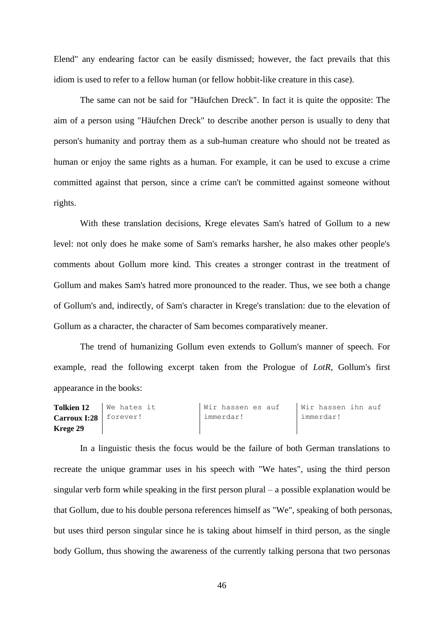Elend" any endearing factor can be easily dismissed; however, the fact prevails that this idiom is used to refer to a fellow human (or fellow hobbit-like creature in this case).

The same can not be said for "Häufchen Dreck". In fact it is quite the opposite: The aim of a person using "Häufchen Dreck" to describe another person is usually to deny that person's humanity and portray them as a sub-human creature who should not be treated as human or enjoy the same rights as a human. For example, it can be used to excuse a crime committed against that person, since a crime can't be committed against someone without rights.

With these translation decisions, Krege elevates Sam's hatred of Gollum to a new level: not only does he make some of Sam's remarks harsher, he also makes other people's comments about Gollum more kind. This creates a stronger contrast in the treatment of Gollum and makes Sam's hatred more pronounced to the reader. Thus, we see both a change of Gollum's and, indirectly, of Sam's character in Krege's translation: due to the elevation of Gollum as a character, the character of Sam becomes comparatively meaner.

The trend of humanizing Gollum even extends to Gollum's manner of speech. For example, read the following excerpt taken from the Prologue of *LotR*, Gollum's first appearance in the books:

| Tolkien 12               | We hates it | I Wir hassen es auf | Wir hassen ihn auf |
|--------------------------|-------------|---------------------|--------------------|
| $Carrow I:28$   forever! |             | immerdar!           | l immerdar!        |
| Krege 29                 |             |                     |                    |

In a linguistic thesis the focus would be the failure of both German translations to recreate the unique grammar uses in his speech with "We hates", using the third person singular verb form while speaking in the first person plural – a possible explanation would be that Gollum, due to his double persona references himself as "We", speaking of both personas, but uses third person singular since he is taking about himself in third person, as the single body Gollum, thus showing the awareness of the currently talking persona that two personas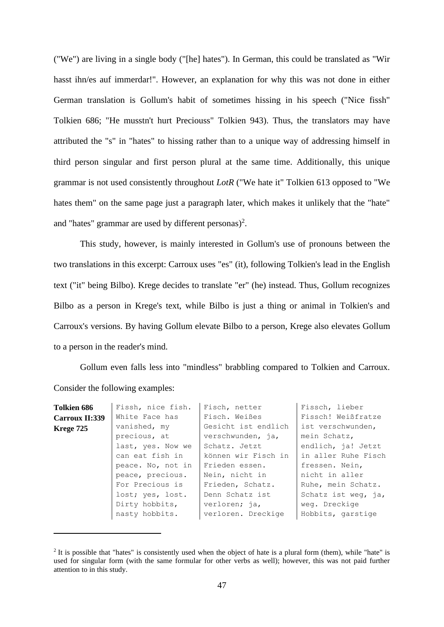("We") are living in a single body ("[he] hates"). In German, this could be translated as "Wir hasst ihn/es auf immerdar!". However, an explanation for why this was not done in either German translation is Gollum's habit of sometimes hissing in his speech ("Nice fissh" Tolkien 686; "He musstn't hurt Preciouss" Tolkien 943). Thus, the translators may have attributed the "s" in "hates" to hissing rather than to a unique way of addressing himself in third person singular and first person plural at the same time. Additionally, this unique grammar is not used consistently throughout *LotR* ("We hate it" Tolkien 613 opposed to "We hates them" on the same page just a paragraph later, which makes it unlikely that the "hate" and "hates" grammar are used by different personas)<sup>2</sup>.

This study, however, is mainly interested in Gollum's use of pronouns between the two translations in this excerpt: Carroux uses "es" (it), following Tolkien's lead in the English text ("it" being Bilbo). Krege decides to translate "er" (he) instead. Thus, Gollum recognizes Bilbo as a person in Krege's text, while Bilbo is just a thing or animal in Tolkien's and Carroux's versions. By having Gollum elevate Bilbo to a person, Krege also elevates Gollum to a person in the reader's mind.

Gollum even falls less into "mindless" brabbling compared to Tolkien and Carroux. Consider the following examples:

| Tolkien 686    | Fissh, nice fish. | Fisch, netter       | Fissch, lieber      |
|----------------|-------------------|---------------------|---------------------|
| Carroux II:339 | White Face has    | Fisch. Weißes       | Fissch! Weißfratze  |
| Krege 725      | vanished, my      | Gesicht ist endlich | ist verschwunden,   |
|                | precious, at      | verschwunden, ja,   | mein Schatz,        |
|                | last, yes. Now we | Schatz. Jetzt       | endlich, ja! Jetzt  |
|                | can eat fish in   | können wir Fisch in | in aller Ruhe Fisch |
|                | peace. No, not in | Frieden essen.      | fressen. Nein,      |
|                | peace, precious.  | Nein, nicht in      | nicht in aller      |
|                | For Precious is   | Frieden, Schatz.    | Ruhe, mein Schatz.  |
|                | lost; yes, lost.  | Denn Schatz ist     | Schatz ist weg, ja, |
|                | Dirty hobbits,    | verloren; ja,       | weg. Dreckige       |
|                | nasty hobbits.    | verloren. Dreckige  | Hobbits, garstige   |
|                |                   |                     |                     |

 $2$  It is possible that "hates" is consistently used when the object of hate is a plural form (them), while "hate" is used for singular form (with the same formular for other verbs as well); however, this was not paid further attention to in this study.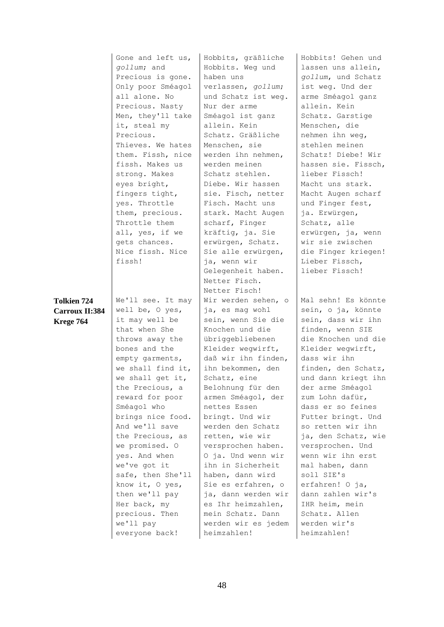|                    | Gone and left us, | Hobbits, gräßliche  | Hobbits! Gehen und  |
|--------------------|-------------------|---------------------|---------------------|
|                    | gollum; and       | Hobbits. Weg und    | lassen uns allein,  |
|                    | Precious is gone. | haben uns           | gollum, und Schatz  |
|                    | Only poor Sméagol | verlassen, gollum;  | ist weg. Und der    |
|                    | all alone. No     | und Schatz ist weg. | arme Sméagol ganz   |
|                    | Precious. Nasty   | Nur der arme        | allein. Kein        |
|                    | Men, they'll take | Sméagol ist ganz    | Schatz. Garstige    |
|                    | it, steal my      | allein. Kein        | Menschen, die       |
|                    | Precious.         | Schatz. Gräßliche   | nehmen ihn weg,     |
|                    | Thieves. We hates | Menschen, sie       | stehlen meinen      |
|                    | them. Fissh, nice | werden ihn nehmen,  | Schatz! Diebe! Wir  |
|                    | fissh. Makes us   | werden meinen       | hassen sie. Fissch, |
|                    | strong. Makes     | Schatz stehlen.     | lieber Fissch!      |
|                    | eyes bright,      | Diebe. Wir hassen   | Macht uns stark.    |
|                    | fingers tight,    | sie. Fisch, netter  | Macht Augen scharf  |
|                    | yes. Throttle     | Fisch. Macht uns    | und Finger fest,    |
|                    | them, precious.   | stark. Macht Augen  | ja. Erwürgen,       |
|                    | Throttle them     | scharf, Finger      | Schatz, alle        |
|                    | all, yes, if we   | kräftig, ja. Sie    | erwürgen, ja, wenn  |
|                    | gets chances.     | erwürgen, Schatz.   | wir sie zwischen    |
|                    | Nice fissh. Nice  | Sie alle erwürgen,  | die Finger kriegen! |
|                    | fissh!            | ja, wenn wir        | Lieber Fissch,      |
|                    |                   | Gelegenheit haben.  | lieber Fissch!      |
|                    |                   | Netter Fisch.       |                     |
|                    |                   | Netter Fisch!       |                     |
| <b>Tolkien 724</b> | We'll see. It may | Wir werden sehen, o | Mal sehn! Es könnte |
| Carroux II:384     | well be, O yes,   | ja, es mag wohl     | sein, o ja, könnte  |
| Krege 764          | it may well be    | sein, wenn Sie die  | sein, dass wir ihn  |
|                    | that when She     | Knochen und die     | finden, wenn SIE    |
|                    | throws away the   | übriggebliebenen    | die Knochen und die |
|                    | bones and the     | Kleider wegwirft,   | Kleider wegwirft,   |
|                    | empty garments,   | daß wir ihn finden, | dass wir ihn        |
|                    | we shall find it, | ihn bekommen, den   | finden, den Schatz, |
|                    | we shall get it,  | Schatz, eine        | und dann kriegt ihn |
|                    | the Precious, a   | Belohnung für den   | der arme Sméagol    |
|                    | reward for poor   | armen Sméagol, der  | zum Lohn dafür,     |
|                    | Sméagol who       | nettes Essen        | dass er so feines   |
|                    | brings nice food. | bringt. Und wir     | Futter bringt. Und  |
|                    | And we'll save    | werden den Schatz   | so retten wir ihn   |
|                    | the Precious, as  | retten, wie wir     | ja, den Schatz, wie |
|                    | we promised. O    | versprochen haben.  | versprochen. Und    |
|                    | yes. And when     | O ja. Und wenn wir  | wenn wir ihn erst   |
|                    | we've got it      | ihn in Sicherheit   | mal haben, dann     |
|                    | safe, then She'll | haben, dann wird    | soll SIE's          |
|                    | know it, O yes,   | Sie es erfahren, o  | erfahren! O ja,     |
|                    | then we'll pay    | ja, dann werden wir | dann zahlen wir's   |
|                    | Her back, my      | es Ihr heimzahlen,  | IHR heim, mein      |
|                    | precious. Then    | mein Schatz. Dann   | Schatz. Allen       |
|                    | we'll pay         | werden wir es jedem | werden wir's        |
|                    | everyone back!    | heimzahlen!         | heimzahlen!         |
|                    |                   |                     |                     |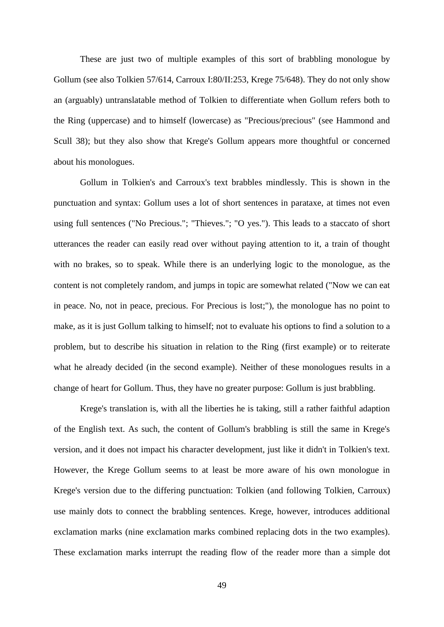These are just two of multiple examples of this sort of brabbling monologue by Gollum (see also Tolkien 57/614, Carroux I:80/II:253, Krege 75/648). They do not only show an (arguably) untranslatable method of Tolkien to differentiate when Gollum refers both to the Ring (uppercase) and to himself (lowercase) as "Precious/precious" (see Hammond and Scull 38); but they also show that Krege's Gollum appears more thoughtful or concerned about his monologues.

Gollum in Tolkien's and Carroux's text brabbles mindlessly. This is shown in the punctuation and syntax: Gollum uses a lot of short sentences in parataxe, at times not even using full sentences ("No Precious."; "Thieves."; "O yes."). This leads to a staccato of short utterances the reader can easily read over without paying attention to it, a train of thought with no brakes, so to speak. While there is an underlying logic to the monologue, as the content is not completely random, and jumps in topic are somewhat related ("Now we can eat in peace. No, not in peace, precious. For Precious is lost;"), the monologue has no point to make, as it is just Gollum talking to himself; not to evaluate his options to find a solution to a problem, but to describe his situation in relation to the Ring (first example) or to reiterate what he already decided (in the second example). Neither of these monologues results in a change of heart for Gollum. Thus, they have no greater purpose: Gollum is just brabbling.

Krege's translation is, with all the liberties he is taking, still a rather faithful adaption of the English text. As such, the content of Gollum's brabbling is still the same in Krege's version, and it does not impact his character development, just like it didn't in Tolkien's text. However, the Krege Gollum seems to at least be more aware of his own monologue in Krege's version due to the differing punctuation: Tolkien (and following Tolkien, Carroux) use mainly dots to connect the brabbling sentences. Krege, however, introduces additional exclamation marks (nine exclamation marks combined replacing dots in the two examples). These exclamation marks interrupt the reading flow of the reader more than a simple dot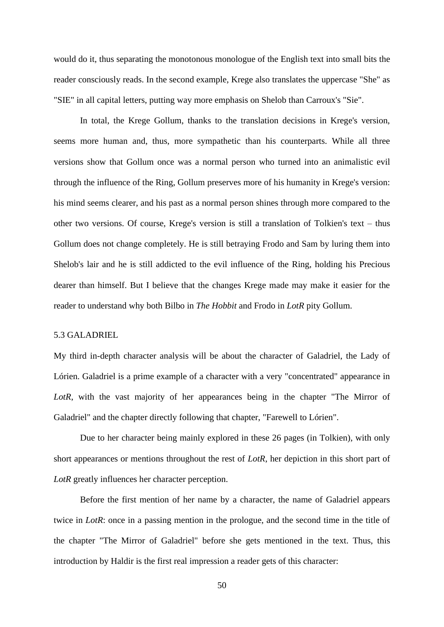would do it, thus separating the monotonous monologue of the English text into small bits the reader consciously reads. In the second example, Krege also translates the uppercase "She" as "SIE" in all capital letters, putting way more emphasis on Shelob than Carroux's "Sie".

In total, the Krege Gollum, thanks to the translation decisions in Krege's version, seems more human and, thus, more sympathetic than his counterparts. While all three versions show that Gollum once was a normal person who turned into an animalistic evil through the influence of the Ring, Gollum preserves more of his humanity in Krege's version: his mind seems clearer, and his past as a normal person shines through more compared to the other two versions. Of course, Krege's version is still a translation of Tolkien's text – thus Gollum does not change completely. He is still betraying Frodo and Sam by luring them into Shelob's lair and he is still addicted to the evil influence of the Ring, holding his Precious dearer than himself. But I believe that the changes Krege made may make it easier for the reader to understand why both Bilbo in *The Hobbit* and Frodo in *LotR* pity Gollum.

## 5.3 GALADRIEL

My third in-depth character analysis will be about the character of Galadriel, the Lady of Lórien. Galadriel is a prime example of a character with a very "concentrated" appearance in LotR, with the vast majority of her appearances being in the chapter "The Mirror of Galadriel" and the chapter directly following that chapter, "Farewell to Lórien".

Due to her character being mainly explored in these 26 pages (in Tolkien), with only short appearances or mentions throughout the rest of *LotR*, her depiction in this short part of *LotR* greatly influences her character perception.

Before the first mention of her name by a character, the name of Galadriel appears twice in *LotR*: once in a passing mention in the prologue, and the second time in the title of the chapter "The Mirror of Galadriel" before she gets mentioned in the text. Thus, this introduction by Haldir is the first real impression a reader gets of this character: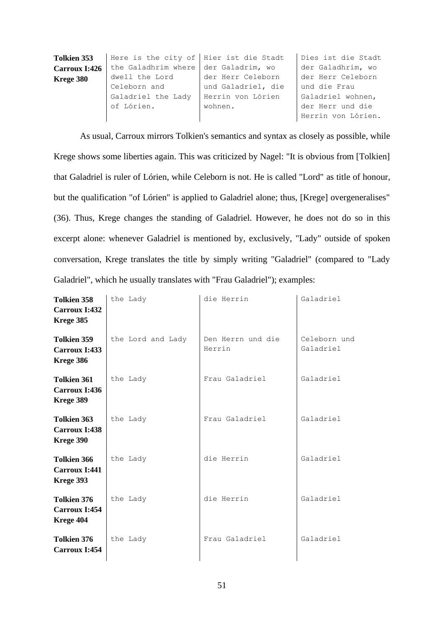| <b>Tolkien 353</b> | Here is the city of Hier ist die Stadt |                    | Dies ist die Stadt |
|--------------------|----------------------------------------|--------------------|--------------------|
| Carroux I:426      | the Galadhrim where der Galadrim, wo   |                    | der Galadhrim, wo  |
| Krege 380          | dwell the Lord                         | der Herr Celeborn  | der Herr Celeborn  |
|                    | Celeborn and                           | und Galadriel, die | und die Frau       |
|                    | Galadriel the Lady                     | Herrin von Lórien  | Galadriel wohnen,  |
|                    | of Lórien.                             | wohnen.            | der Herr und die   |
|                    |                                        |                    | Herrin von Lórien. |

As usual, Carroux mirrors Tolkien's semantics and syntax as closely as possible, while Krege shows some liberties again. This was criticized by Nagel: "It is obvious from [Tolkien] that Galadriel is ruler of Lórien, while Celeborn is not. He is called "Lord" as title of honour, but the qualification "of Lórien" is applied to Galadriel alone; thus, [Krege] overgeneralises" (36). Thus, Krege changes the standing of Galadriel. However, he does not do so in this excerpt alone: whenever Galadriel is mentioned by, exclusively, "Lady" outside of spoken conversation, Krege translates the title by simply writing "Galadriel" (compared to "Lady Galadriel", which he usually translates with "Frau Galadriel"); examples:

| <b>Tolkien 358</b><br>Carroux I:432<br>Krege 385 | the Lady          | die Herrin                  | Galadriel                 |
|--------------------------------------------------|-------------------|-----------------------------|---------------------------|
| Tolkien 359<br>Carroux I:433<br>Krege 386        | the Lord and Lady | Den Herrn und die<br>Herrin | Celeborn und<br>Galadriel |
| <b>Tolkien 361</b><br>Carroux I:436<br>Krege 389 | the Lady          | Frau Galadriel              | Galadriel                 |
| <b>Tolkien 363</b><br>Carroux I:438<br>Krege 390 | the Lady          | Frau Galadriel              | Galadriel                 |
| <b>Tolkien 366</b><br>Carroux I:441<br>Krege 393 | the Lady          | die Herrin                  | Galadriel                 |
| <b>Tolkien 376</b><br>Carroux I:454<br>Krege 404 | the Lady          | die Herrin                  | Galadriel                 |
| <b>Tolkien 376</b><br>Carroux I:454              | the Lady          | Frau Galadriel              | Galadriel                 |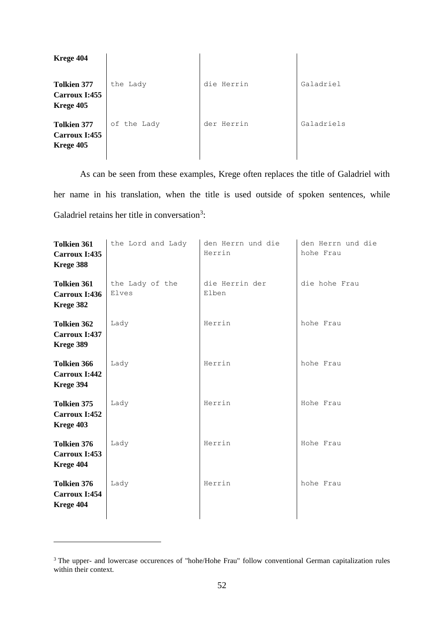| Krege 404                                        |             |            |            |
|--------------------------------------------------|-------------|------------|------------|
| <b>Tolkien 377</b><br>Carroux I:455<br>Krege 405 | the Lady    | die Herrin | Galadriel  |
| <b>Tolkien 377</b><br>Carroux I:455<br>Krege 405 | of the Lady | der Herrin | Galadriels |

As can be seen from these examples, Krege often replaces the title of Galadriel with her name in his translation, when the title is used outside of spoken sentences, while Galadriel retains her title in conversation<sup>3</sup>:

| <b>Tolkien 361</b><br>Carroux I:435<br>Krege 388 | the Lord and Lady        | den Herrn und die<br>Herrin | den Herrn und die<br>hohe Frau |
|--------------------------------------------------|--------------------------|-----------------------------|--------------------------------|
| <b>Tolkien 361</b><br>Carroux I:436<br>Krege 382 | the Lady of the<br>Elves | die Herrin der<br>Elben     | die hohe Frau                  |
| <b>Tolkien 362</b><br>Carroux I:437<br>Krege 389 | Lady                     | Herrin                      | hohe Frau                      |
| <b>Tolkien 366</b><br>Carroux I:442<br>Krege 394 | Lady                     | Herrin                      | hohe Frau                      |
| <b>Tolkien 375</b><br>Carroux I:452<br>Krege 403 | Lady                     | Herrin                      | Hohe Frau                      |
| <b>Tolkien 376</b><br>Carroux I:453<br>Krege 404 | Lady                     | Herrin                      | Hohe Frau                      |
| <b>Tolkien 376</b><br>Carroux I:454<br>Krege 404 | Lady                     | Herrin                      | hohe Frau                      |

<sup>&</sup>lt;sup>3</sup> The upper- and lowercase occurences of "hohe/Hohe Frau" follow conventional German capitalization rules within their context.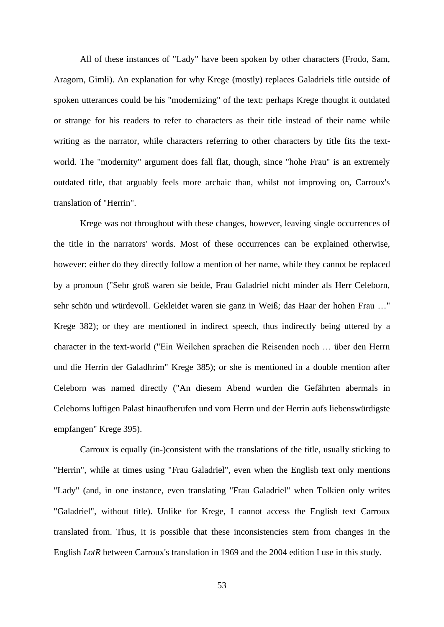All of these instances of "Lady" have been spoken by other characters (Frodo, Sam, Aragorn, Gimli). An explanation for why Krege (mostly) replaces Galadriels title outside of spoken utterances could be his "modernizing" of the text: perhaps Krege thought it outdated or strange for his readers to refer to characters as their title instead of their name while writing as the narrator, while characters referring to other characters by title fits the textworld. The "modernity" argument does fall flat, though, since "hohe Frau" is an extremely outdated title, that arguably feels more archaic than, whilst not improving on, Carroux's translation of "Herrin".

Krege was not throughout with these changes, however, leaving single occurrences of the title in the narrators' words. Most of these occurrences can be explained otherwise, however: either do they directly follow a mention of her name, while they cannot be replaced by a pronoun ("Sehr groß waren sie beide, Frau Galadriel nicht minder als Herr Celeborn, sehr schön und würdevoll. Gekleidet waren sie ganz in Weiß; das Haar der hohen Frau …" Krege 382); or they are mentioned in indirect speech, thus indirectly being uttered by a character in the text-world ("Ein Weilchen sprachen die Reisenden noch … über den Herrn und die Herrin der Galadhrim" Krege 385); or she is mentioned in a double mention after Celeborn was named directly ("An diesem Abend wurden die Gefährten abermals in Celeborns luftigen Palast hinaufberufen und vom Herrn und der Herrin aufs liebenswürdigste empfangen" Krege 395).

Carroux is equally (in-)consistent with the translations of the title, usually sticking to "Herrin", while at times using "Frau Galadriel", even when the English text only mentions "Lady" (and, in one instance, even translating "Frau Galadriel" when Tolkien only writes "Galadriel", without title). Unlike for Krege, I cannot access the English text Carroux translated from. Thus, it is possible that these inconsistencies stem from changes in the English *LotR* between Carroux's translation in 1969 and the 2004 edition I use in this study.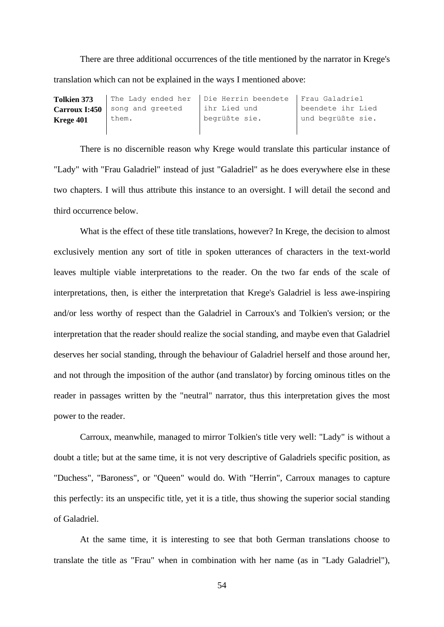There are three additional occurrences of the title mentioned by the narrator in Krege's translation which can not be explained in the ways I mentioned above:

| <b>Tolkien 373</b>   |                  | The Lady ended her   Die Herrin beendete   Frau Galadriel |                   |
|----------------------|------------------|-----------------------------------------------------------|-------------------|
| <b>Carroux I:450</b> | song and greeted | ihr Lied und                                              | beendete ihr Lied |
| Krege 401            | them.            | begrüßte sie.                                             | und begrüßte sie. |
|                      |                  |                                                           |                   |

There is no discernible reason why Krege would translate this particular instance of "Lady" with "Frau Galadriel" instead of just "Galadriel" as he does everywhere else in these two chapters. I will thus attribute this instance to an oversight. I will detail the second and third occurrence below.

What is the effect of these title translations, however? In Krege, the decision to almost exclusively mention any sort of title in spoken utterances of characters in the text-world leaves multiple viable interpretations to the reader. On the two far ends of the scale of interpretations, then, is either the interpretation that Krege's Galadriel is less awe-inspiring and/or less worthy of respect than the Galadriel in Carroux's and Tolkien's version; or the interpretation that the reader should realize the social standing, and maybe even that Galadriel deserves her social standing, through the behaviour of Galadriel herself and those around her, and not through the imposition of the author (and translator) by forcing ominous titles on the reader in passages written by the "neutral" narrator, thus this interpretation gives the most power to the reader.

Carroux, meanwhile, managed to mirror Tolkien's title very well: "Lady" is without a doubt a title; but at the same time, it is not very descriptive of Galadriels specific position, as "Duchess", "Baroness", or "Queen" would do. With "Herrin", Carroux manages to capture this perfectly: its an unspecific title, yet it is a title, thus showing the superior social standing of Galadriel.

At the same time, it is interesting to see that both German translations choose to translate the title as "Frau" when in combination with her name (as in "Lady Galadriel"),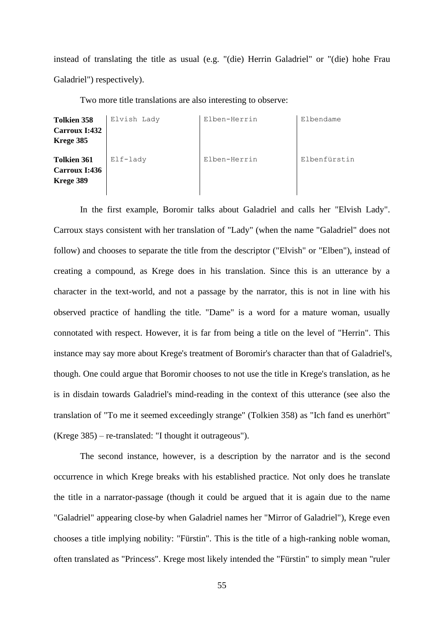instead of translating the title as usual (e.g. "(die) Herrin Galadriel" or "(die) hohe Frau Galadriel") respectively).

Two more title translations are also interesting to observe:

| <b>Tolkien 358</b>                               | Elvish Lady | Elben-Herrin | Elbendame    |
|--------------------------------------------------|-------------|--------------|--------------|
| <b>Carroux I:432</b><br>Krege 385                |             |              |              |
| <b>Tolkien 361</b><br>Carroux I:436<br>Krege 389 | Elf-lady    | Elben-Herrin | Elbenfürstin |

In the first example, Boromir talks about Galadriel and calls her "Elvish Lady". Carroux stays consistent with her translation of "Lady" (when the name "Galadriel" does not follow) and chooses to separate the title from the descriptor ("Elvish" or "Elben"), instead of creating a compound, as Krege does in his translation. Since this is an utterance by a character in the text-world, and not a passage by the narrator, this is not in line with his observed practice of handling the title. "Dame" is a word for a mature woman, usually connotated with respect. However, it is far from being a title on the level of "Herrin". This instance may say more about Krege's treatment of Boromir's character than that of Galadriel's, though. One could argue that Boromir chooses to not use the title in Krege's translation, as he is in disdain towards Galadriel's mind-reading in the context of this utterance (see also the translation of "To me it seemed exceedingly strange" (Tolkien 358) as "Ich fand es unerhört" (Krege 385) – re-translated: "I thought it outrageous").

The second instance, however, is a description by the narrator and is the second occurrence in which Krege breaks with his established practice. Not only does he translate the title in a narrator-passage (though it could be argued that it is again due to the name "Galadriel" appearing close-by when Galadriel names her "Mirror of Galadriel"), Krege even chooses a title implying nobility: "Fürstin". This is the title of a high-ranking noble woman, often translated as "Princess". Krege most likely intended the "Fürstin" to simply mean "ruler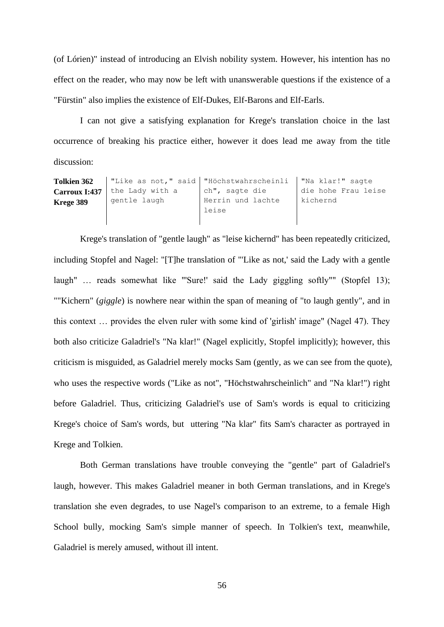(of Lórien)" instead of introducing an Elvish nobility system. However, his intention has no effect on the reader, who may now be left with unanswerable questions if the existence of a "Fürstin" also implies the existence of Elf-Dukes, Elf-Barons and Elf-Earls.

I can not give a satisfying explanation for Krege's translation choice in the last occurrence of breaking his practice either, however it does lead me away from the title discussion:

| Tolkien 362   |                 | "Like as not," said   "Höchstwahrscheinli   "Na klar!" sagte |                     |
|---------------|-----------------|--------------------------------------------------------------|---------------------|
| Carroux I:437 | the Lady with a | ch", sagte die                                               | die hohe Frau leise |
| Krege 389     | gentle laugh    | Herrin und lachte                                            | kichernd            |
|               |                 | leise                                                        |                     |
|               |                 |                                                              |                     |

Krege's translation of "gentle laugh" as "leise kichernd" has been repeatedly criticized, including Stopfel and Nagel: "[T]he translation of "'Like as not,' said the Lady with a gentle laugh" ... reads somewhat like "'Sure!' said the Lady giggling softly"" (Stopfel 13); ""Kichern" (*giggle*) is nowhere near within the span of meaning of "to laugh gently", and in this context … provides the elven ruler with some kind of 'girlish' image" (Nagel 47). They both also criticize Galadriel's "Na klar!" (Nagel explicitly, Stopfel implicitly); however, this criticism is misguided, as Galadriel merely mocks Sam (gently, as we can see from the quote), who uses the respective words ("Like as not", "Höchstwahrscheinlich" and "Na klar!") right before Galadriel. Thus, criticizing Galadriel's use of Sam's words is equal to criticizing Krege's choice of Sam's words, but uttering "Na klar" fits Sam's character as portrayed in Krege and Tolkien.

Both German translations have trouble conveying the "gentle" part of Galadriel's laugh, however. This makes Galadriel meaner in both German translations, and in Krege's translation she even degrades, to use Nagel's comparison to an extreme, to a female High School bully, mocking Sam's simple manner of speech. In Tolkien's text, meanwhile, Galadriel is merely amused, without ill intent.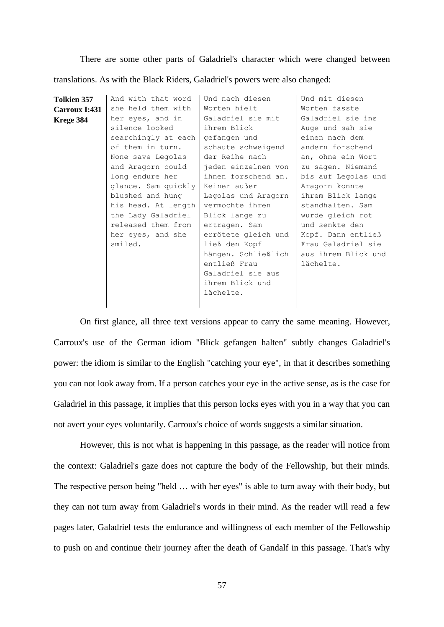There are some other parts of Galadriel's character which were changed between translations. As with the Black Riders, Galadriel's powers were also changed:

| <b>Tolkien 357</b> | And with that word  | Und nach diesen     | Und mit diesen      |
|--------------------|---------------------|---------------------|---------------------|
| Carroux I:431      | she held them with  | Worten hielt        | Worten fasste       |
| Krege 384          | her eyes, and in    | Galadriel sie mit   | Galadriel sie ins   |
|                    | silence looked      | ihrem Blick         | Auge und sah sie    |
|                    | searchingly at each | gefangen und        | einen nach dem      |
|                    | of them in turn.    | schaute schweigend  | andern forschend    |
|                    | None save Legolas   | der Reihe nach      | an, ohne ein Wort   |
|                    | and Aragorn could   | jeden einzelnen von | zu sagen. Niemand   |
|                    | long endure her     | ihnen forschend an. | bis auf Legolas und |
|                    | glance. Sam quickly | Keiner außer        | Aragorn konnte      |
|                    | blushed and hung    | Legolas und Aragorn | ihrem Blick lange   |
|                    | his head. At length | vermochte ihren     | standhalten. Sam    |
|                    | the Lady Galadriel  | Blick lange zu      | wurde gleich rot    |
|                    | released them from  | ertragen. Sam       | und senkte den      |
|                    | her eyes, and she   | errötete gleich und | Kopf. Dann entließ  |
|                    | smiled.             | ließ den Kopf       | Frau Galadriel sie  |
|                    |                     | hängen. Schließlich | aus ihrem Blick und |
|                    |                     | entließ Frau        | lächelte.           |
|                    |                     | Galadriel sie aus   |                     |
|                    |                     | ihrem Blick und     |                     |
|                    |                     | lächelte.           |                     |
|                    |                     |                     |                     |

On first glance, all three text versions appear to carry the same meaning. However, Carroux's use of the German idiom "Blick gefangen halten" subtly changes Galadriel's power: the idiom is similar to the English "catching your eye", in that it describes something you can not look away from. If a person catches your eye in the active sense, as is the case for Galadriel in this passage, it implies that this person locks eyes with you in a way that you can not avert your eyes voluntarily. Carroux's choice of words suggests a similar situation.

However, this is not what is happening in this passage, as the reader will notice from the context: Galadriel's gaze does not capture the body of the Fellowship, but their minds. The respective person being "held … with her eyes" is able to turn away with their body, but they can not turn away from Galadriel's words in their mind. As the reader will read a few pages later, Galadriel tests the endurance and willingness of each member of the Fellowship to push on and continue their journey after the death of Gandalf in this passage. That's why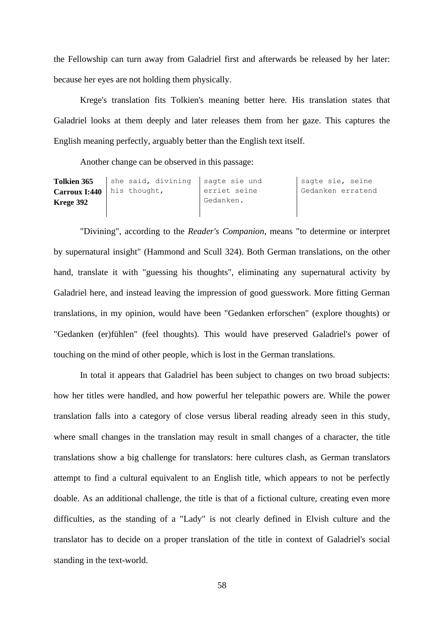the Fellowship can turn away from Galadriel first and afterwards be released by her later: because her eyes are not holding them physically.

Krege's translation fits Tolkien's meaning better here. His translation states that Galadriel looks at them deeply and later releases them from her gaze. This captures the English meaning perfectly, arguably better than the English text itself.

Another change can be observed in this passage:

| <b>Tolkien 365</b> | she said, divining sagte sie und    |              | sagte sie, seine  |
|--------------------|-------------------------------------|--------------|-------------------|
|                    | <b>Carroux I:440</b>   his thought, | erriet seine | Gedanken erratend |
| Krege 392          |                                     | Gedanken.    |                   |
|                    |                                     |              |                   |

"Divining", according to the *Reader's Companion*, means "to determine or interpret by supernatural insight" (Hammond and Scull 324). Both German translations, on the other hand, translate it with "guessing his thoughts", eliminating any supernatural activity by Galadriel here, and instead leaving the impression of good guesswork. More fitting German translations, in my opinion, would have been "Gedanken erforschen" (explore thoughts) or "Gedanken (er)fühlen" (feel thoughts). This would have preserved Galadriel's power of touching on the mind of other people, which is lost in the German translations.

In total it appears that Galadriel has been subject to changes on two broad subjects: how her titles were handled, and how powerful her telepathic powers are. While the power translation falls into a category of close versus liberal reading already seen in this study, where small changes in the translation may result in small changes of a character, the title translations show a big challenge for translators: here cultures clash, as German translators attempt to find a cultural equivalent to an English title, which appears to not be perfectly doable. As an additional challenge, the title is that of a fictional culture, creating even more difficulties, as the standing of a "Lady" is not clearly defined in Elvish culture and the translator has to decide on a proper translation of the title in context of Galadriel's social standing in the text-world.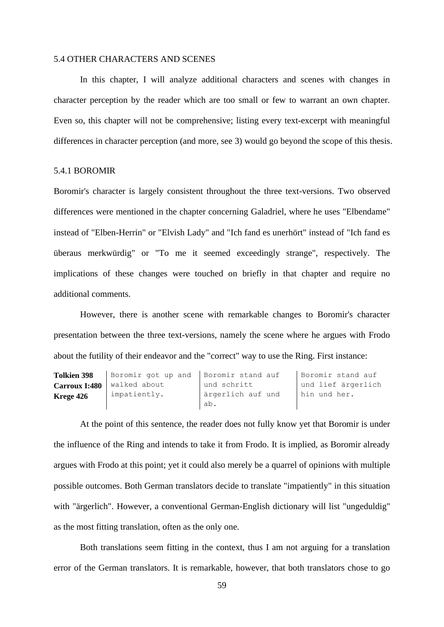### 5.4 OTHER CHARACTERS AND SCENES

In this chapter, I will analyze additional characters and scenes with changes in character perception by the reader which are too small or few to warrant an own chapter. Even so, this chapter will not be comprehensive; listing every text-excerpt with meaningful differences in character perception (and more, see 3) would go beyond the scope of this thesis.

# 5.4.1 BOROMIR

Boromir's character is largely consistent throughout the three text-versions. Two observed differences were mentioned in the chapter concerning Galadriel, where he uses "Elbendame" instead of "Elben-Herrin" or "Elvish Lady" and "Ich fand es unerhört" instead of "Ich fand es überaus merkwürdig" or "To me it seemed exceedingly strange", respectively. The implications of these changes were touched on briefly in that chapter and require no additional comments.

However, there is another scene with remarkable changes to Boromir's character presentation between the three text-versions, namely the scene where he argues with Frodo about the futility of their endeavor and the "correct" way to use the Ring. First instance:

| <b>Tolkien 398</b> | Boromir got up and Boromir stand auf |                   | Boromir stand auf  |
|--------------------|--------------------------------------|-------------------|--------------------|
| Carroux I:480      | walked about                         | und schritt       | und lief ärgerlich |
| Krege 426          | impatiently.                         | ärgerlich auf und | I hin und her.     |
|                    |                                      | ab.               |                    |

At the point of this sentence, the reader does not fully know yet that Boromir is under the influence of the Ring and intends to take it from Frodo. It is implied, as Boromir already argues with Frodo at this point; yet it could also merely be a quarrel of opinions with multiple possible outcomes. Both German translators decide to translate "impatiently" in this situation with "ärgerlich". However, a conventional German-English dictionary will list "ungeduldig" as the most fitting translation, often as the only one.

Both translations seem fitting in the context, thus I am not arguing for a translation error of the German translators. It is remarkable, however, that both translators chose to go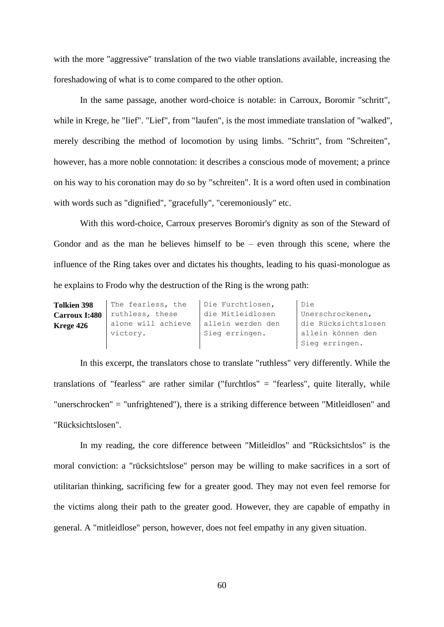with the more "aggressive" translation of the two viable translations available, increasing the foreshadowing of what is to come compared to the other option.

In the same passage, another word-choice is notable: in Carroux, Boromir "schritt", while in Krege, he "lief". "Lief", from "laufen", is the most immediate translation of "walked", merely describing the method of locomotion by using limbs. "Schritt", from "Schreiten", however, has a more noble connotation: it describes a conscious mode of movement; a prince on his way to his coronation may do so by "schreiten". It is a word often used in combination with words such as "dignified", "gracefully", "ceremoniously" etc.

With this word-choice, Carroux preserves Boromir's dignity as son of the Steward of Gondor and as the man he believes himself to be – even through this scene, where the influence of the Ring takes over and dictates his thoughts, leading to his quasi-monologue as he explains to Frodo why the destruction of the Ring is the wrong path:

| <b>Tolkien 398</b> | The fearless, the  | Die Furchtlosen,  | Die                 |
|--------------------|--------------------|-------------------|---------------------|
| Carroux I:480      | ruthless, these    | die Mitleidlosen  | Unerschrockenen,    |
| Krege 426          | alone will achieve | allein werden den | die Rücksichtslosen |
|                    | victory.           | Sieg erringen.    | allein können den   |
|                    |                    |                   | Sieg erringen.      |
|                    |                    |                   |                     |

In this excerpt, the translators chose to translate "ruthless" very differently. While the translations of "fearless" are rather similar ("furchtlos" = "fearless", quite literally, while "unerschrocken" = "unfrightened"), there is a striking difference between "Mitleidlosen" and "Rücksichtslosen".

In my reading, the core difference between "Mitleidlos" and "Rücksichtslos" is the moral conviction: a "rücksichtslose" person may be willing to make sacrifices in a sort of utilitarian thinking, sacrificing few for a greater good. They may not even feel remorse for the victims along their path to the greater good. However, they are capable of empathy in general. A "mitleidlose" person, however, does not feel empathy in any given situation.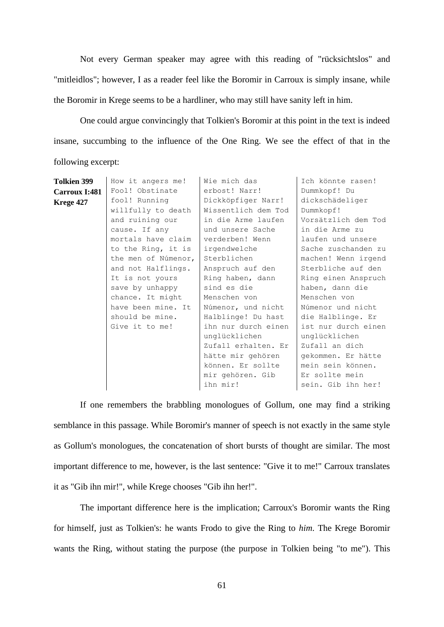Not every German speaker may agree with this reading of "rücksichtslos" and "mitleidlos"; however, I as a reader feel like the Boromir in Carroux is simply insane, while the Boromir in Krege seems to be a hardliner, who may still have sanity left in him.

One could argue convincingly that Tolkien's Boromir at this point in the text is indeed insane, succumbing to the influence of the One Ring. We see the effect of that in the following excerpt:

| <b>Tolkien 399</b> | How it angers me!   | Wie mich das        | Ich könnte rasen!   |
|--------------------|---------------------|---------------------|---------------------|
| Carroux I:481      | Fool! Obstinate     | erbost! Narr!       | Dummkopf! Du        |
| Krege 427          | fool! Running       | Dickköpfiger Narr!  | dickschädeliger     |
|                    | willfully to death  | Wissentlich dem Tod | Dummkopf!           |
|                    | and ruining our     | in die Arme laufen  | Vorsätzlich dem Tod |
|                    | cause. If any       | und unsere Sache    | in die Arme zu      |
|                    | mortals have claim  | verderben! Wenn     | laufen und unsere   |
|                    | to the Ring, it is  | irgendwelche        | Sache zuschanden zu |
|                    | the men of Númenor, | Sterblichen         | machen! Wenn irgend |
|                    | and not Halflings.  | Anspruch auf den    | Sterbliche auf den  |
|                    | It is not yours     | Ring haben, dann    | Ring einen Anspruch |
|                    | save by unhappy     | sind es die         | haben, dann die     |
|                    | chance. It might    | Menschen von        | Menschen von        |
|                    | have been mine. It  | Númenor, und nicht  | Númenor und nicht   |
|                    | should be mine.     | Halblinge! Du hast  | die Halblinge. Er   |
|                    | Give it to me!      | ihn nur durch einen | ist nur durch einen |
|                    |                     | unglücklichen       | unglücklichen       |
|                    |                     | Zufall erhalten. Er | Zufall an dich      |
|                    |                     | hätte mir gehören   | gekommen. Er hätte  |
|                    |                     | können. Er sollte   | mein sein können.   |
|                    |                     | mir gehören. Gib    | Er sollte mein      |
|                    |                     | ihn mir!            | sein. Gib ihn her!  |
|                    |                     |                     |                     |

If one remembers the brabbling monologues of Gollum, one may find a striking semblance in this passage. While Boromir's manner of speech is not exactly in the same style as Gollum's monologues, the concatenation of short bursts of thought are similar. The most important difference to me, however, is the last sentence: "Give it to me!" Carroux translates it as "Gib ihn mir!", while Krege chooses "Gib ihn her!".

The important difference here is the implication; Carroux's Boromir wants the Ring for himself, just as Tolkien's: he wants Frodo to give the Ring to *him*. The Krege Boromir wants the Ring, without stating the purpose (the purpose in Tolkien being "to me"). This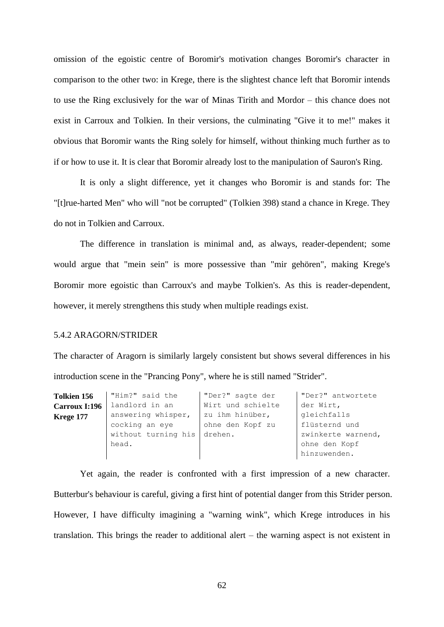omission of the egoistic centre of Boromir's motivation changes Boromir's character in comparison to the other two: in Krege, there is the slightest chance left that Boromir intends to use the Ring exclusively for the war of Minas Tirith and Mordor – this chance does not exist in Carroux and Tolkien. In their versions, the culminating "Give it to me!" makes it obvious that Boromir wants the Ring solely for himself, without thinking much further as to if or how to use it. It is clear that Boromir already lost to the manipulation of Sauron's Ring.

It is only a slight difference, yet it changes who Boromir is and stands for: The "[t]rue-harted Men" who will "not be corrupted" (Tolkien 398) stand a chance in Krege. They do not in Tolkien and Carroux.

The difference in translation is minimal and, as always, reader-dependent; some would argue that "mein sein" is more possessive than "mir gehören", making Krege's Boromir more egoistic than Carroux's and maybe Tolkien's. As this is reader-dependent, however, it merely strengthens this study when multiple readings exist.

## 5.4.2 ARAGORN/STRIDER

The character of Aragorn is similarly largely consistent but shows several differences in his introduction scene in the "Prancing Pony", where he is still named "Strider".

| <b>Tolkien 156</b> | "Him?" said the             | "Der?" sagte der  | "Der?" antwortete  |
|--------------------|-----------------------------|-------------------|--------------------|
| Carroux I:196      | landlord in an              | Wirt und schielte | der Wirt,          |
| Krege 177          | answering whisper,          | zu ihm hinüber,   | gleichfalls        |
|                    | cocking an eye              | ohne den Kopf zu  | flüsternd und      |
|                    | without turning his drehen. |                   | zwinkerte warnend, |
|                    | head.                       |                   | ohne den Kopf      |
|                    |                             |                   | hinzuwenden.       |

Yet again, the reader is confronted with a first impression of a new character. Butterbur's behaviour is careful, giving a first hint of potential danger from this Strider person. However, I have difficulty imagining a "warning wink", which Krege introduces in his translation. This brings the reader to additional alert – the warning aspect is not existent in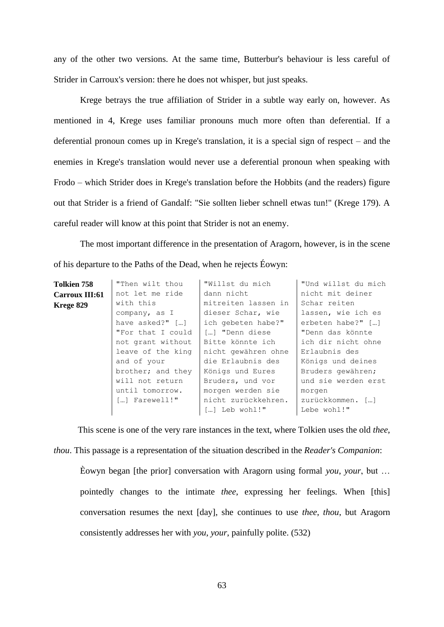any of the other two versions. At the same time, Butterbur's behaviour is less careful of Strider in Carroux's version: there he does not whisper, but just speaks.

Krege betrays the true affiliation of Strider in a subtle way early on, however. As mentioned in 4, Krege uses familiar pronouns much more often than deferential. If a deferential pronoun comes up in Krege's translation, it is a special sign of respect – and the enemies in Krege's translation would never use a deferential pronoun when speaking with Frodo – which Strider does in Krege's translation before the Hobbits (and the readers) figure out that Strider is a friend of Gandalf: "Sie sollten lieber schnell etwas tun!" (Krege 179). A careful reader will know at this point that Strider is not an enemy.

The most important difference in the presentation of Aragorn, however, is in the scene of his departure to the Paths of the Dead, when he rejects Éowyn:

| <b>Tolkien 758</b> | "Then wilt thou   | "Willst du mich     | "Und willst du mich |
|--------------------|-------------------|---------------------|---------------------|
| Carroux III:61     | not let me ride   | dann nicht          | nicht mit deiner    |
| Krege 829          | with this         | mitreiten lassen in | Schar reiten        |
|                    | company, as I     | dieser Schar, wie   | lassen, wie ich es  |
|                    | have $asked?"$ [] | ich gebeten habe?"  | erbeten habe?" []   |
|                    | "For that I could | […] "Denn diese     | "Denn das könnte    |
|                    | not grant without | Bitte könnte ich    | ich dir nicht ohne  |
|                    | leave of the king | nicht gewähren ohne | Erlaubnis des       |
|                    | and of your       | die Erlaubnis des   | Königs und deines   |
|                    | brother; and they | Königs und Eures    | Bruders gewähren;   |
|                    | will not return   | Bruders, und vor    | und sie werden erst |
|                    | until tomorrow.   | morgen werden sie   | morgen              |
|                    | [] Farewell!"     | nicht zurückkehren. | zurückkommen. []    |
|                    |                   | [] Leb wohl!"       | Lebe wohl!"         |

This scene is one of the very rare instances in the text, where Tolkien uses the old *thee*, *thou*. This passage is a representation of the situation described in the *Reader's Companion*:

Èowyn began [the prior] conversation with Aragorn using formal *you*, *your*, but … pointedly changes to the intimate *thee*, expressing her feelings. When [this] conversation resumes the next [day], she continues to use *thee*, *thou*, but Aragorn consistently addresses her with *you*, *your*, painfully polite. (532)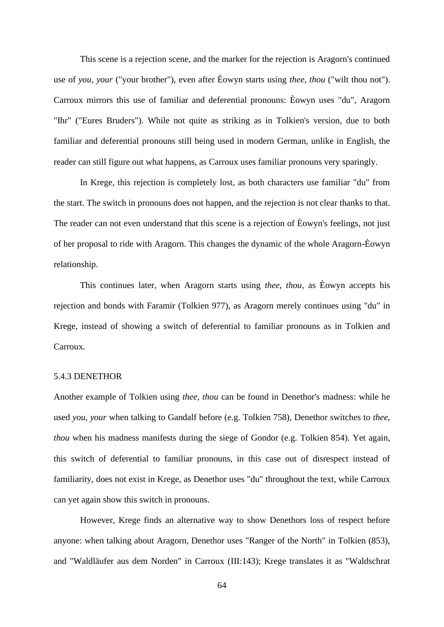This scene is a rejection scene, and the marker for the rejection is Aragorn's continued use of *you*, *your* ("your brother"), even after Èowyn starts using *thee*, *thou* ("wilt thou not"). Carroux mirrors this use of familiar and deferential pronouns: Èowyn uses "du", Aragorn "Ihr" ("Eures Bruders"). While not quite as striking as in Tolkien's version, due to both familiar and deferential pronouns still being used in modern German, unlike in English, the reader can still figure out what happens, as Carroux uses familiar pronouns very sparingly.

In Krege, this rejection is completely lost, as both characters use familiar "du" from the start. The switch in pronouns does not happen, and the rejection is not clear thanks to that. The reader can not even understand that this scene is a rejection of Èowyn's feelings, not just of her proposal to ride with Aragorn. This changes the dynamic of the whole Aragorn-Èowyn relationship.

This continues later, when Aragorn starts using *thee*, *thou*, as Èowyn accepts his rejection and bonds with Faramir (Tolkien 977), as Aragorn merely continues using "du" in Krege, instead of showing a switch of deferential to familiar pronouns as in Tolkien and Carroux.

## 5.4.3 DENETHOR

Another example of Tolkien using *thee*, *thou* can be found in Denethor's madness: while he used *you*, *your* when talking to Gandalf before (e.g. Tolkien 758), Denethor switches to *thee*, *thou* when his madness manifests during the siege of Gondor (e.g. Tolkien 854). Yet again, this switch of deferential to familiar pronouns, in this case out of disrespect instead of familiarity, does not exist in Krege, as Denethor uses "du" throughout the text, while Carroux can yet again show this switch in pronouns.

However, Krege finds an alternative way to show Denethors loss of respect before anyone: when talking about Aragorn, Denethor uses "Ranger of the North" in Tolkien (853), and "Waldläufer aus dem Norden" in Carroux (III:143); Krege translates it as "Waldschrat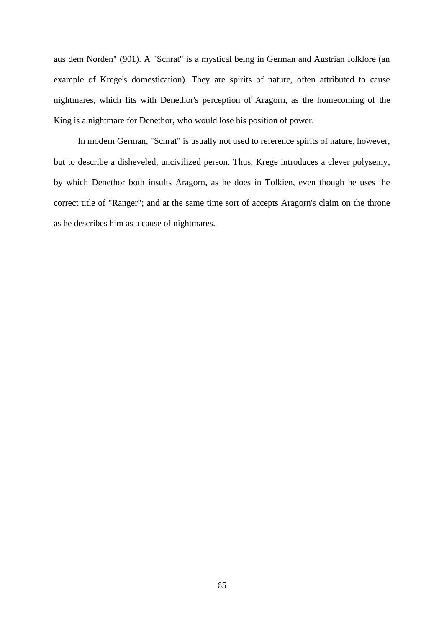aus dem Norden" (901). A "Schrat" is a mystical being in German and Austrian folklore (an example of Krege's domestication). They are spirits of nature, often attributed to cause nightmares, which fits with Denethor's perception of Aragorn, as the homecoming of the King is a nightmare for Denethor, who would lose his position of power.

In modern German, "Schrat" is usually not used to reference spirits of nature, however, but to describe a disheveled, uncivilized person. Thus, Krege introduces a clever polysemy, by which Denethor both insults Aragorn, as he does in Tolkien, even though he uses the correct title of "Ranger"; and at the same time sort of accepts Aragorn's claim on the throne as he describes him as a cause of nightmares.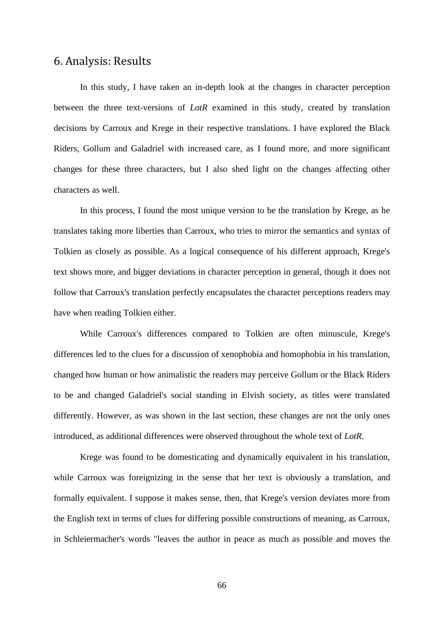# 6. Analysis: Results

In this study, I have taken an in-depth look at the changes in character perception between the three text-versions of *LotR* examined in this study, created by translation decisions by Carroux and Krege in their respective translations. I have explored the Black Riders, Gollum and Galadriel with increased care, as I found more, and more significant changes for these three characters, but I also shed light on the changes affecting other characters as well.

In this process, I found the most unique version to be the translation by Krege, as he translates taking more liberties than Carroux, who tries to mirror the semantics and syntax of Tolkien as closely as possible. As a logical consequence of his different approach, Krege's text shows more, and bigger deviations in character perception in general, though it does not follow that Carroux's translation perfectly encapsulates the character perceptions readers may have when reading Tolkien either.

While Carroux's differences compared to Tolkien are often minuscule, Krege's differences led to the clues for a discussion of xenophobia and homophobia in his translation, changed how human or how animalistic the readers may perceive Gollum or the Black Riders to be and changed Galadriel's social standing in Elvish society, as titles were translated differently. However, as was shown in the last section, these changes are not the only ones introduced, as additional differences were observed throughout the whole text of *LotR*.

Krege was found to be domesticating and dynamically equivalent in his translation, while Carroux was foreignizing in the sense that her text is obviously a translation, and formally equivalent. I suppose it makes sense, then, that Krege's version deviates more from the English text in terms of clues for differing possible constructions of meaning, as Carroux, in Schleiermacher's words "leaves the author in peace as much as possible and moves the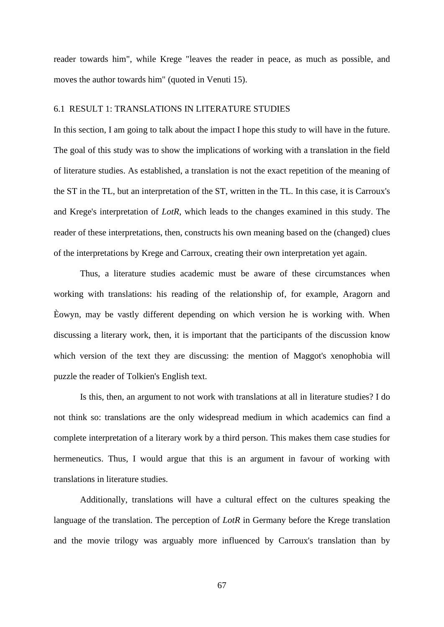reader towards him", while Krege "leaves the reader in peace, as much as possible, and moves the author towards him" (quoted in Venuti 15).

### 6.1 RESULT 1: TRANSLATIONS IN LITERATURE STUDIES

In this section, I am going to talk about the impact I hope this study to will have in the future. The goal of this study was to show the implications of working with a translation in the field of literature studies. As established, a translation is not the exact repetition of the meaning of the ST in the TL, but an interpretation of the ST, written in the TL. In this case, it is Carroux's and Krege's interpretation of *LotR*, which leads to the changes examined in this study. The reader of these interpretations, then, constructs his own meaning based on the (changed) clues of the interpretations by Krege and Carroux, creating their own interpretation yet again.

Thus, a literature studies academic must be aware of these circumstances when working with translations: his reading of the relationship of, for example, Aragorn and Èowyn, may be vastly different depending on which version he is working with. When discussing a literary work, then, it is important that the participants of the discussion know which version of the text they are discussing: the mention of Maggot's xenophobia will puzzle the reader of Tolkien's English text.

Is this, then, an argument to not work with translations at all in literature studies? I do not think so: translations are the only widespread medium in which academics can find a complete interpretation of a literary work by a third person. This makes them case studies for hermeneutics. Thus, I would argue that this is an argument in favour of working with translations in literature studies.

Additionally, translations will have a cultural effect on the cultures speaking the language of the translation. The perception of *LotR* in Germany before the Krege translation and the movie trilogy was arguably more influenced by Carroux's translation than by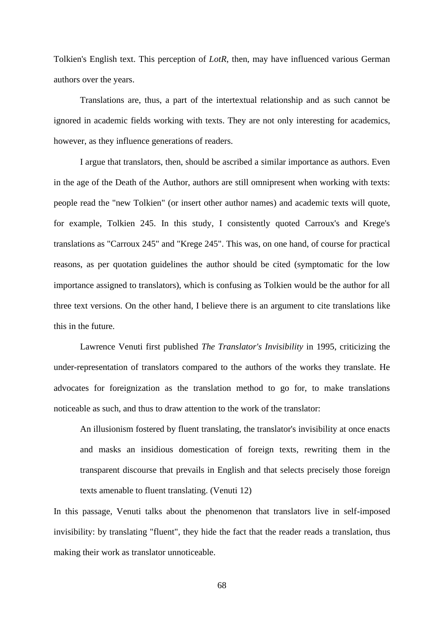Tolkien's English text. This perception of *LotR*, then, may have influenced various German authors over the years.

Translations are, thus, a part of the intertextual relationship and as such cannot be ignored in academic fields working with texts. They are not only interesting for academics, however, as they influence generations of readers.

I argue that translators, then, should be ascribed a similar importance as authors. Even in the age of the Death of the Author, authors are still omnipresent when working with texts: people read the "new Tolkien" (or insert other author names) and academic texts will quote, for example, Tolkien 245. In this study, I consistently quoted Carroux's and Krege's translations as "Carroux 245" and "Krege 245". This was, on one hand, of course for practical reasons, as per quotation guidelines the author should be cited (symptomatic for the low importance assigned to translators), which is confusing as Tolkien would be the author for all three text versions. On the other hand, I believe there is an argument to cite translations like this in the future.

Lawrence Venuti first published *The Translator's Invisibility* in 1995, criticizing the under-representation of translators compared to the authors of the works they translate. He advocates for foreignization as the translation method to go for, to make translations noticeable as such, and thus to draw attention to the work of the translator:

An illusionism fostered by fluent translating, the translator's invisibility at once enacts and masks an insidious domestication of foreign texts, rewriting them in the transparent discourse that prevails in English and that selects precisely those foreign texts amenable to fluent translating. (Venuti 12)

In this passage, Venuti talks about the phenomenon that translators live in self-imposed invisibility: by translating "fluent", they hide the fact that the reader reads a translation, thus making their work as translator unnoticeable.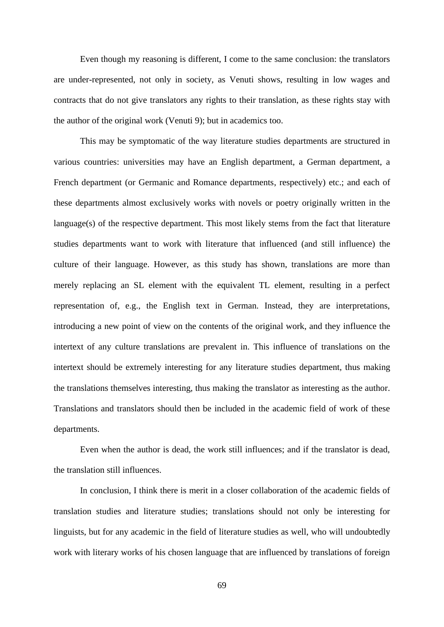Even though my reasoning is different, I come to the same conclusion: the translators are under-represented, not only in society, as Venuti shows, resulting in low wages and contracts that do not give translators any rights to their translation, as these rights stay with the author of the original work (Venuti 9); but in academics too.

This may be symptomatic of the way literature studies departments are structured in various countries: universities may have an English department, a German department, a French department (or Germanic and Romance departments, respectively) etc.; and each of these departments almost exclusively works with novels or poetry originally written in the language(s) of the respective department. This most likely stems from the fact that literature studies departments want to work with literature that influenced (and still influence) the culture of their language. However, as this study has shown, translations are more than merely replacing an SL element with the equivalent TL element, resulting in a perfect representation of, e.g., the English text in German. Instead, they are interpretations, introducing a new point of view on the contents of the original work, and they influence the intertext of any culture translations are prevalent in. This influence of translations on the intertext should be extremely interesting for any literature studies department, thus making the translations themselves interesting, thus making the translator as interesting as the author. Translations and translators should then be included in the academic field of work of these departments.

Even when the author is dead, the work still influences; and if the translator is dead, the translation still influences.

In conclusion, I think there is merit in a closer collaboration of the academic fields of translation studies and literature studies; translations should not only be interesting for linguists, but for any academic in the field of literature studies as well, who will undoubtedly work with literary works of his chosen language that are influenced by translations of foreign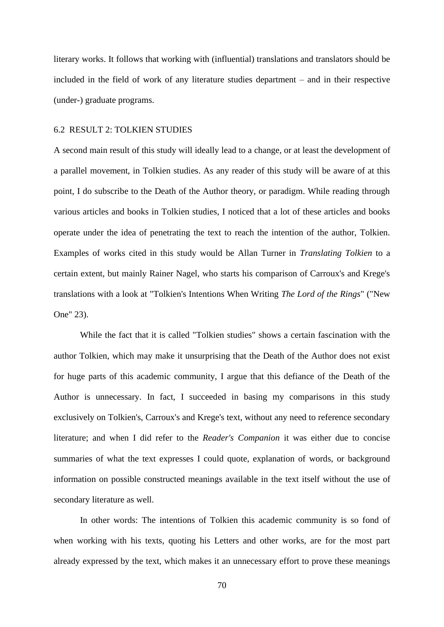literary works. It follows that working with (influential) translations and translators should be included in the field of work of any literature studies department – and in their respective (under-) graduate programs.

#### 6.2 RESULT 2: TOLKIEN STUDIES

A second main result of this study will ideally lead to a change, or at least the development of a parallel movement, in Tolkien studies. As any reader of this study will be aware of at this point, I do subscribe to the Death of the Author theory, or paradigm. While reading through various articles and books in Tolkien studies, I noticed that a lot of these articles and books operate under the idea of penetrating the text to reach the intention of the author, Tolkien. Examples of works cited in this study would be Allan Turner in *Translating Tolkien* to a certain extent, but mainly Rainer Nagel, who starts his comparison of Carroux's and Krege's translations with a look at "Tolkien's Intentions When Writing *The Lord of the Rings*" ("New One" 23).

While the fact that it is called "Tolkien studies" shows a certain fascination with the author Tolkien, which may make it unsurprising that the Death of the Author does not exist for huge parts of this academic community, I argue that this defiance of the Death of the Author is unnecessary. In fact, I succeeded in basing my comparisons in this study exclusively on Tolkien's, Carroux's and Krege's text, without any need to reference secondary literature; and when I did refer to the *Reader's Companion* it was either due to concise summaries of what the text expresses I could quote, explanation of words, or background information on possible constructed meanings available in the text itself without the use of secondary literature as well.

In other words: The intentions of Tolkien this academic community is so fond of when working with his texts, quoting his Letters and other works, are for the most part already expressed by the text, which makes it an unnecessary effort to prove these meanings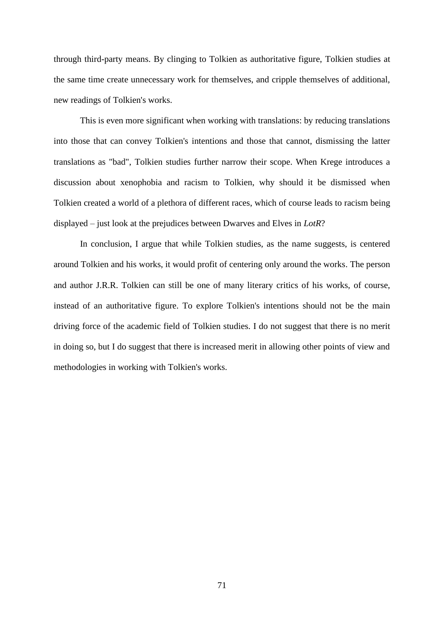through third-party means. By clinging to Tolkien as authoritative figure, Tolkien studies at the same time create unnecessary work for themselves, and cripple themselves of additional, new readings of Tolkien's works.

This is even more significant when working with translations: by reducing translations into those that can convey Tolkien's intentions and those that cannot, dismissing the latter translations as "bad", Tolkien studies further narrow their scope. When Krege introduces a discussion about xenophobia and racism to Tolkien, why should it be dismissed when Tolkien created a world of a plethora of different races, which of course leads to racism being displayed – just look at the prejudices between Dwarves and Elves in *LotR*?

In conclusion, I argue that while Tolkien studies, as the name suggests, is centered around Tolkien and his works, it would profit of centering only around the works. The person and author J.R.R. Tolkien can still be one of many literary critics of his works, of course, instead of an authoritative figure. To explore Tolkien's intentions should not be the main driving force of the academic field of Tolkien studies. I do not suggest that there is no merit in doing so, but I do suggest that there is increased merit in allowing other points of view and methodologies in working with Tolkien's works.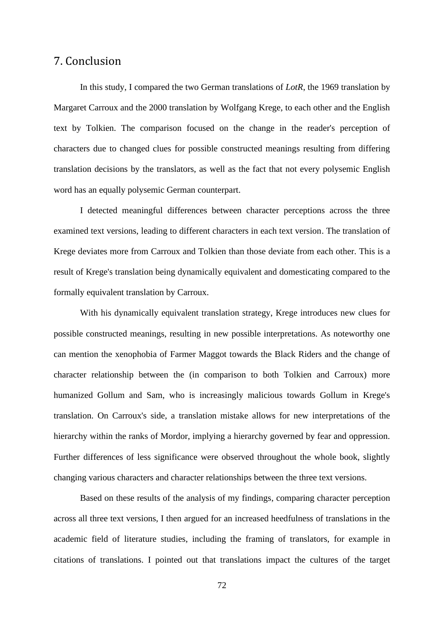## 7. Conclusion

In this study, I compared the two German translations of *LotR*, the 1969 translation by Margaret Carroux and the 2000 translation by Wolfgang Krege, to each other and the English text by Tolkien. The comparison focused on the change in the reader's perception of characters due to changed clues for possible constructed meanings resulting from differing translation decisions by the translators, as well as the fact that not every polysemic English word has an equally polysemic German counterpart.

I detected meaningful differences between character perceptions across the three examined text versions, leading to different characters in each text version. The translation of Krege deviates more from Carroux and Tolkien than those deviate from each other. This is a result of Krege's translation being dynamically equivalent and domesticating compared to the formally equivalent translation by Carroux.

With his dynamically equivalent translation strategy, Krege introduces new clues for possible constructed meanings, resulting in new possible interpretations. As noteworthy one can mention the xenophobia of Farmer Maggot towards the Black Riders and the change of character relationship between the (in comparison to both Tolkien and Carroux) more humanized Gollum and Sam, who is increasingly malicious towards Gollum in Krege's translation. On Carroux's side, a translation mistake allows for new interpretations of the hierarchy within the ranks of Mordor, implying a hierarchy governed by fear and oppression. Further differences of less significance were observed throughout the whole book, slightly changing various characters and character relationships between the three text versions.

Based on these results of the analysis of my findings, comparing character perception across all three text versions, I then argued for an increased heedfulness of translations in the academic field of literature studies, including the framing of translators, for example in citations of translations. I pointed out that translations impact the cultures of the target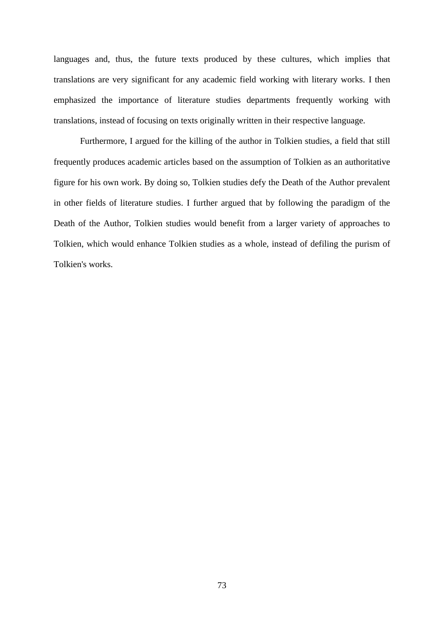languages and, thus, the future texts produced by these cultures, which implies that translations are very significant for any academic field working with literary works. I then emphasized the importance of literature studies departments frequently working with translations, instead of focusing on texts originally written in their respective language.

Furthermore, I argued for the killing of the author in Tolkien studies, a field that still frequently produces academic articles based on the assumption of Tolkien as an authoritative figure for his own work. By doing so, Tolkien studies defy the Death of the Author prevalent in other fields of literature studies. I further argued that by following the paradigm of the Death of the Author, Tolkien studies would benefit from a larger variety of approaches to Tolkien, which would enhance Tolkien studies as a whole, instead of defiling the purism of Tolkien's works.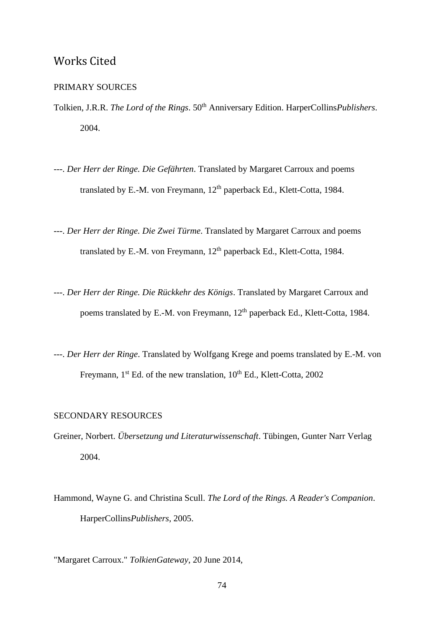# Works Cited

### PRIMARY SOURCES

- Tolkien, J.R.R. *The Lord of the Rings*.  $50<sup>th</sup>$  Anniversary Edition. HarperCollins*Publishers*. 2004.
- ---. *Der Herr der Ringe. Die Gefährten*. Translated by Margaret Carroux and poems translated by E.-M. von Freymann, 12<sup>th</sup> paperback Ed., Klett-Cotta, 1984.
- ---. *Der Herr der Ringe. Die Zwei Türme*. Translated by Margaret Carroux and poems translated by E.-M. von Freymann, 12<sup>th</sup> paperback Ed., Klett-Cotta, 1984.
- ---. *Der Herr der Ringe. Die Rückkehr des Königs*. Translated by Margaret Carroux and poems translated by E.-M. von Freymann, 12<sup>th</sup> paperback Ed., Klett-Cotta, 1984.
- ---. *Der Herr der Ringe*. Translated by Wolfgang Krege and poems translated by E.-M. von Freymann, 1<sup>st</sup> Ed. of the new translation, 10<sup>th</sup> Ed., Klett-Cotta, 2002

### SECONDARY RESOURCES

- Greiner, Norbert. *Übersetzung und Literaturwissenschaft*. Tübingen, Gunter Narr Verlag 2004.
- Hammond, Wayne G. and Christina Scull. *The Lord of the Rings. A Reader's Companion*. HarperCollins*Publishers*, 2005.

"Margaret Carroux." *TolkienGateway*, 20 June 2014,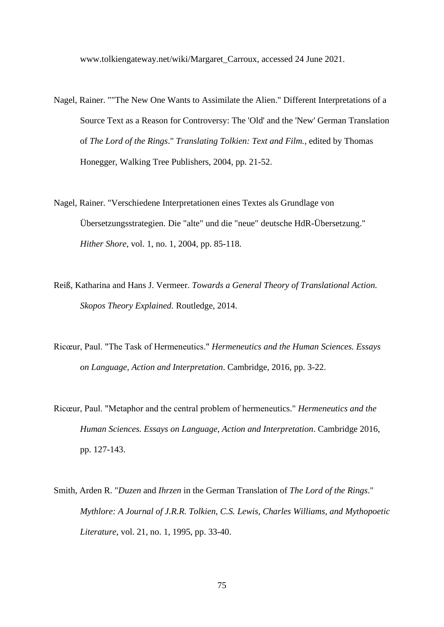www.tolkiengateway.net/wiki/Margaret\_Carroux, accessed 24 June 2021.

- Nagel, Rainer. ""The New One Wants to Assimilate the Alien." Different Interpretations of a Source Text as a Reason for Controversy: The 'Old' and the 'New' German Translation of *The Lord of the Rings*." *Translating Tolkien: Text and Film.*, edited by Thomas Honegger, Walking Tree Publishers, 2004, pp. 21-52.
- Nagel, Rainer. "Verschiedene Interpretationen eines Textes als Grundlage von Übersetzungsstrategien. Die "alte" und die "neue" deutsche HdR-Übersetzung." *Hither Shore*, vol. 1, no. 1, 2004, pp. 85-118.
- Reiß, Katharina and Hans J. Vermeer. *Towards a General Theory of Translational Action. Skopos Theory Explained.* Routledge, 2014.
- Ricœur, Paul. "The Task of Hermeneutics." *Hermeneutics and the Human Sciences. Essays on Language, Action and Interpretation*. Cambridge, 2016, pp. 3-22.
- Ricœur, Paul. "Metaphor and the central problem of hermeneutics." *Hermeneutics and the Human Sciences. Essays on Language, Action and Interpretation*. Cambridge 2016, pp. 127-143.
- Smith, Arden R. "*Duzen* and *Ihrzen* in the German Translation of *The Lord of the Rings*." *Mythlore: A Journal of J.R.R. Tolkien, C.S. Lewis, Charles Williams, and Mythopoetic Literature*, vol. 21, no. 1, 1995, pp. 33-40.